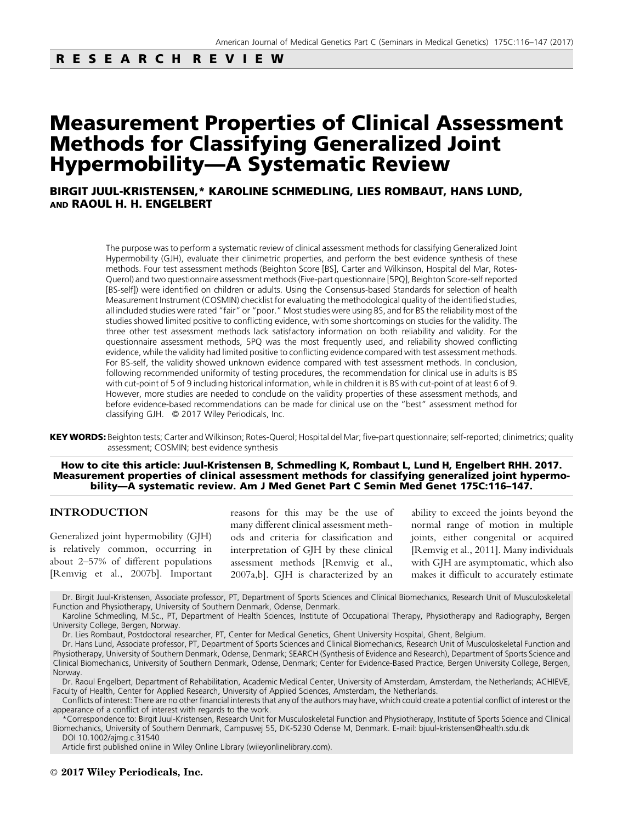## RESEARCH REVIEW

# Measurement Properties of Clinical Assessment Methods for Classifying Generalized Joint Hypermobility—A Systematic Review

BIRGIT JUUL-KRISTENSEN,\* KAROLINE SCHMEDLING, LIES ROMBAUT, HANS LUND, AND RAOUL H. H. ENGELBERT

> The purpose was to perform a systematic review of clinical assessment methods for classifying Generalized Joint Hypermobility (GJH), evaluate their clinimetric properties, and perform the best evidence synthesis of these methods. Four test assessment methods (Beighton Score [BS], Carter and Wilkinson, Hospital del Mar, Rotes-Querol) and two questionnaire assessment methods (Five-part questionnaire [5PQ], Beighton Score-self reported [BS-self]) were identified on children or adults. Using the Consensus-based Standards for selection of health Measurement Instrument (COSMIN) checklist for evaluating the methodological quality of the identified studies, all included studies were rated "fair" or "poor." Most studies were using BS, and for BS the reliability most of the studies showed limited positive to conflicting evidence, with some shortcomings on studies for the validity. The three other test assessment methods lack satisfactory information on both reliability and validity. For the questionnaire assessment methods, 5PQ was the most frequently used, and reliability showed conflicting evidence, while the validity had limited positive to conflicting evidence compared with test assessment methods. For BS-self, the validity showed unknown evidence compared with test assessment methods. In conclusion, following recommended uniformity of testing procedures, the recommendation for clinical use in adults is BS with cut-point of 5 of 9 including historical information, while in children it is BS with cut-point of at least 6 of 9. However, more studies are needed to conclude on the validity properties of these assessment methods, and before evidence-based recommendations can be made for clinical use on the "best" assessment method for classifying GJH. © 2017 Wiley Periodicals, Inc.

KEY WORDS: Beighton tests; Carter and Wilkinson; Rotes-Querol; Hospital del Mar; five-part questionnaire; self-reported; clinimetrics; quality assessment; COSMIN; best evidence synthesis

How to cite this article: Juul-Kristensen B, Schmedling K, Rombaut L, Lund H, Engelbert RHH. 2017. Measurement properties of clinical assessment methods for classifying generalized joint hypermobility—A systematic review. Am J Med Genet Part C Semin Med Genet 175C:116–147.

## INTRODUCTION

Generalized joint hypermobility (GJH) is relatively common, occurring in about 2–57% of different populations [Remvig et al., 2007b]. Important reasons for this may be the use of many different clinical assessment methods and criteria for classification and interpretation of GJH by these clinical assessment methods [Remvig et al., 2007a,b]. GJH is characterized by an

ability to exceed the joints beyond the normal range of motion in multiple joints, either congenital or acquired [Remvig et al., 2011]. Many individuals with GJH are asymptomatic, which also makes it difficult to accurately estimate

Dr. Birgit Juul-Kristensen, Associate professor, PT, Department of Sports Sciences and Clinical Biomechanics, Research Unit of Musculoskeletal Function and Physiotherapy, University of Southern Denmark, Odense, Denmark.

Karoline Schmedling, M.Sc., PT, Department of Health Sciences, Institute of Occupational Therapy, Physiotherapy and Radiography, Bergen University College, Bergen, Norway.

Dr. Lies Rombaut, Postdoctoral researcher, PT, Center for Medical Genetics, Ghent University Hospital, Ghent, Belgium.

Dr. Hans Lund, Associate professor, PT, Department of Sports Sciences and Clinical Biomechanics, Research Unit of Musculoskeletal Function and Physiotherapy, University of Southern Denmark, Odense, Denmark; SEARCH (Synthesis of Evidence and Research), Department of Sports Science and Clinical Biomechanics, University of Southern Denmark, Odense, Denmark; Center for Evidence-Based Practice, Bergen University College, Bergen, Norway.

Dr. Raoul Engelbert, Department of Rehabilitation, Academic Medical Center, University of Amsterdam, Amsterdam, the Netherlands; ACHIEVE, Faculty of Health, Center for Applied Research, University of Applied Sciences, Amsterdam, the Netherlands.

Conflicts of interest: There are no other financial interests that any of the authors may have, which could create a potential conflict of interest or the appearance of a conflict of interest with regards to the work.

\*Correspondence to: Birgit Juul-Kristensen, Research Unit for Musculoskeletal Function and Physiotherapy, Institute of Sports Science and Clinical Biomechanics, University of Southern Denmark, Campusvej 55, DK-5230 Odense M, Denmark. E-mail: bjuul-kristensen@health.sdu.dk DOI 10.1002/ajmg.c.31540

Article first published online in Wiley Online Library (wileyonlinelibrary.com).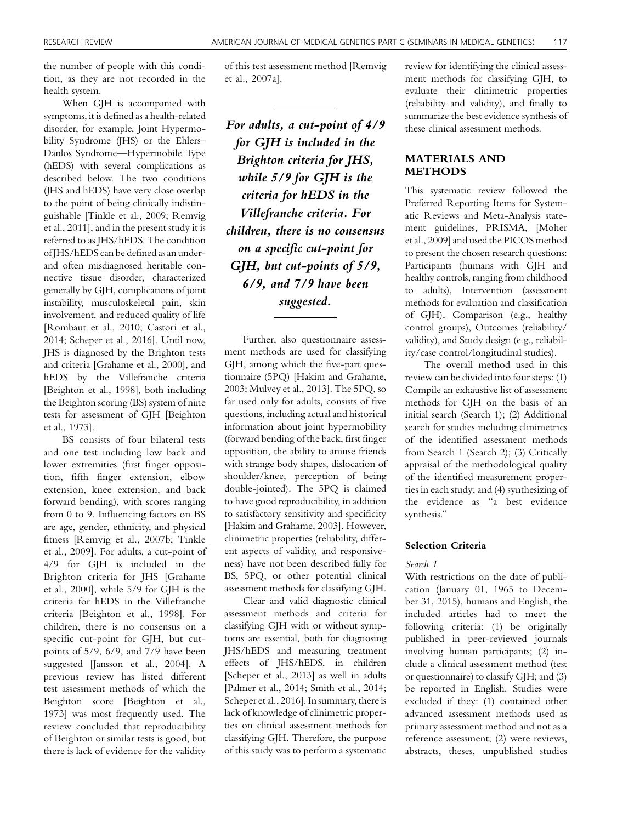the number of people with this condition, as they are not recorded in the health system.

When GJH is accompanied with symptoms, it is defined as a health-related disorder, for example, Joint Hypermobility Syndrome (JHS) or the Ehlers– Danlos Syndrome—Hypermobile Type (hEDS) with several complications as described below. The two conditions (JHS and hEDS) have very close overlap to the point of being clinically indistinguishable [Tinkle et al., 2009; Remvig et al., 2011], and in the present study it is referred to as JHS/hEDS. The condition of JHS/hEDS can be defined as an underand often misdiagnosed heritable connective tissue disorder, characterized generally by GJH, complications of joint instability, musculoskeletal pain, skin involvement, and reduced quality of life [Rombaut et al., 2010; Castori et al., 2014; Scheper et al., 2016]. Until now, JHS is diagnosed by the Brighton tests and criteria [Grahame et al., 2000], and hEDS by the Villefranche criteria [Beighton et al., 1998], both including the Beighton scoring (BS) system of nine tests for assessment of GJH [Beighton et al., 1973].

BS consists of four bilateral tests and one test including low back and lower extremities (first finger opposition, fifth finger extension, elbow extension, knee extension, and back forward bending), with scores ranging from 0 to 9. Influencing factors on BS are age, gender, ethnicity, and physical fitness [Remvig et al., 2007b; Tinkle et al., 2009]. For adults, a cut-point of 4/9 for GJH is included in the Brighton criteria for JHS [Grahame et al., 2000], while 5/9 for GJH is the criteria for hEDS in the Villefranche criteria [Beighton et al., 1998]. For children, there is no consensus on a specific cut-point for GJH, but cutpoints of 5/9, 6/9, and 7/9 have been suggested [Jansson et al., 2004]. A previous review has listed different test assessment methods of which the Beighton score [Beighton et al., 1973] was most frequently used. The review concluded that reproducibility of Beighton or similar tests is good, but there is lack of evidence for the validity

of this test assessment method [Remvig et al., 2007a].

For adults, a cut-point of 4/9 for GJH is included in the Brighton criteria for JHS, while 5/9 for GJH is the criteria for hEDS in the Villefranche criteria. For children, there is no consensus on a specific cut-point for GJH, but cut-points of 5/9, 6/9, and 7/9 have been suggested.

Further, also questionnaire assessment methods are used for classifying GJH, among which the five-part questionnaire (5PQ) [Hakim and Grahame, 2003; Mulvey et al., 2013]. The 5PQ, so far used only for adults, consists of five questions, including actual and historical information about joint hypermobility (forward bending of the back, first finger opposition, the ability to amuse friends with strange body shapes, dislocation of shoulder/knee, perception of being double-jointed). The 5PQ is claimed to have good reproducibility, in addition to satisfactory sensitivity and specificity [Hakim and Grahame, 2003]. However, clinimetric properties (reliability, different aspects of validity, and responsiveness) have not been described fully for BS, 5PQ, or other potential clinical assessment methods for classifying GJH.

Clear and valid diagnostic clinical assessment methods and criteria for classifying GJH with or without symptoms are essential, both for diagnosing JHS/hEDS and measuring treatment effects of JHS/hEDS, in children [Scheper et al., 2013] as well in adults [Palmer et al., 2014; Smith et al., 2014; Scheper et al., 2016]. In summary, there is lack of knowledge of clinimetric properties on clinical assessment methods for classifying GJH. Therefore, the purpose of this study was to perform a systematic review for identifying the clinical assessment methods for classifying GJH, to evaluate their clinimetric properties (reliability and validity), and finally to summarize the best evidence synthesis of these clinical assessment methods.

## MATERIALS AND METHODS

This systematic review followed the Preferred Reporting Items for Systematic Reviews and Meta-Analysis statement guidelines, PRISMA, [Moher et al., 2009] and used the PICOS method to present the chosen research questions: Participants (humans with GJH and healthy controls, ranging from childhood to adults), Intervention (assessment methods for evaluation and classification of GJH), Comparison (e.g., healthy control groups), Outcomes (reliability/ validity), and Study design (e.g., reliability/case control/longitudinal studies).

The overall method used in this review can be divided into four steps: (1) Compile an exhaustive list of assessment methods for GJH on the basis of an initial search (Search 1); (2) Additional search for studies including clinimetrics of the identified assessment methods from Search 1 (Search 2); (3) Critically appraisal of the methodological quality of the identified measurement properties in each study; and (4) synthesizing of the evidence as "a best evidence synthesis."

#### Selection Criteria

#### Search 1

With restrictions on the date of publication (January 01, 1965 to December 31, 2015), humans and English, the included articles had to meet the following criteria: (1) be originally published in peer-reviewed journals involving human participants; (2) include a clinical assessment method (test or questionnaire) to classify GJH; and (3) be reported in English. Studies were excluded if they: (1) contained other advanced assessment methods used as primary assessment method and not as a reference assessment; (2) were reviews, abstracts, theses, unpublished studies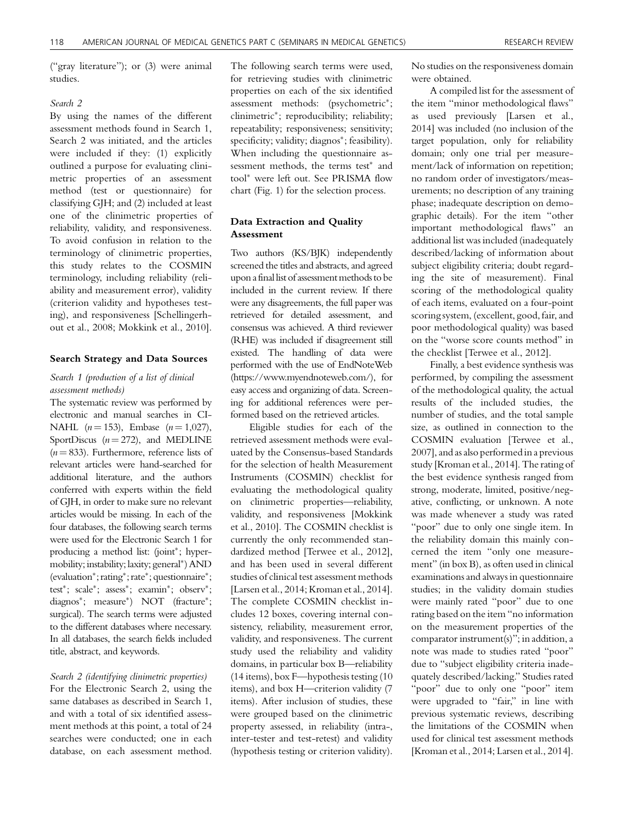("gray literature"); or (3) were animal studies.

#### Search 2

By using the names of the different assessment methods found in Search 1, Search 2 was initiated, and the articles were included if they: (1) explicitly outlined a purpose for evaluating clinimetric properties of an assessment method (test or questionnaire) for classifying GJH; and (2) included at least one of the clinimetric properties of reliability, validity, and responsiveness. To avoid confusion in relation to the terminology of clinimetric properties, this study relates to the COSMIN terminology, including reliability (reliability and measurement error), validity (criterion validity and hypotheses testing), and responsiveness [Schellingerhout et al., 2008; Mokkink et al., 2010].

#### Search Strategy and Data Sources

#### Search 1 (production of a list of clinical assessment methods)

The systematic review was performed by electronic and manual searches in CI-NAHL  $(n = 153)$ , Embase  $(n = 1,027)$ , SportDiscus  $(n = 272)$ , and MEDLINE  $(n = 833)$ . Furthermore, reference lists of relevant articles were hand-searched for additional literature, and the authors conferred with experts within the field of GJH, in order to make sure no relevant articles would be missing. In each of the four databases, the following search terms were used for the Electronic Search 1 for producing a method list: (joint\*; hypermobility; instability; laxity; general\*) AND (evaluation\*; rating\*; rate\*; questionnaire\*; test<sup>\*</sup>; scale<sup>\*</sup>; assess<sup>\*</sup>; examin<sup>\*</sup>; observ<sup>\*</sup>; diagnos\*; measure\*) NOT (fracture\*; surgical). The search terms were adjusted to the different databases where necessary. In all databases, the search fields included title, abstract, and keywords.

#### Search 2 (identifying clinimetric properties)

For the Electronic Search 2, using the same databases as described in Search 1, and with a total of six identified assessment methods at this point, a total of 24 searches were conducted; one in each database, on each assessment method. The following search terms were used, for retrieving studies with clinimetric properties on each of the six identified assessment methods: (psychometric<sup>\*</sup>; clinimetric-; reproducibility; reliability; repeatability; responsiveness; sensitivity; specificity; validity; diagnos\*; feasibility). When including the questionnaire assessment methods, the terms test<sup>\*</sup> and tool\* were left out. See PRISMA flow chart (Fig. 1) for the selection process.

## Data Extraction and Quality Assessment

Two authors (KS/BJK) independently screened the titles and abstracts, and agreed upon a final list of assessment methods to be included in the current review. If there were any disagreements, the full paper was retrieved for detailed assessment, and consensus was achieved. A third reviewer (RHE) was included if disagreement still existed. The handling of data were performed with the use of EndNoteWeb [\(https://www.myendnoteweb.com/\)](https://www.myendnoteweb.com/), for easy access and organizing of data. Screening for additional references were performed based on the retrieved articles.

Eligible studies for each of the retrieved assessment methods were evaluated by the Consensus-based Standards for the selection of health Measurement Instruments (COSMIN) checklist for evaluating the methodological quality on clinimetric properties—reliability, validity, and responsiveness [Mokkink et al., 2010]. The COSMIN checklist is currently the only recommended standardized method [Terwee et al., 2012], and has been used in several different studies of clinical test assessment methods [Larsen et al., 2014; Kroman et al., 2014]. The complete COSMIN checklist includes 12 boxes, covering internal consistency, reliability, measurement error, validity, and responsiveness. The current study used the reliability and validity domains, in particular box B—reliability (14 items), box F—hypothesis testing (10 items), and box H—criterion validity (7 items). After inclusion of studies, these were grouped based on the clinimetric property assessed, in reliability (intra-, inter-tester and test-retest) and validity (hypothesis testing or criterion validity).

No studies on the responsiveness domain were obtained.

A compiled list for the assessment of the item "minor methodological flaws" as used previously [Larsen et al., 2014] was included (no inclusion of the target population, only for reliability domain; only one trial per measurement/lack of information on repetition; no random order of investigators/measurements; no description of any training phase; inadequate description on demographic details). For the item "other important methodological flaws" an additional list was included (inadequately described/lacking of information about subject eligibility criteria; doubt regarding the site of measurement). Final scoring of the methodological quality of each items, evaluated on a four-point scoring system, (excellent, good, fair, and poor methodological quality) was based on the "worse score counts method" in the checklist [Terwee et al., 2012].

Finally, a best evidence synthesis was performed, by compiling the assessment of the methodological quality, the actual results of the included studies, the number of studies, and the total sample size, as outlined in connection to the COSMIN evaluation [Terwee et al., 2007], and as also performed in a previous study [Kroman et al., 2014]. The rating of the best evidence synthesis ranged from strong, moderate, limited, positive/negative, conflicting, or unknown. A note was made whenever a study was rated "poor" due to only one single item. In the reliability domain this mainly concerned the item "only one measurement" (in box B), as often used in clinical examinations and always in questionnaire studies; in the validity domain studies were mainly rated "poor" due to one rating based on the item "no information on the measurement properties of the comparator instrument(s)"; in addition, a note was made to studies rated "poor" due to "subject eligibility criteria inadequately described/lacking." Studies rated "poor" due to only one "poor" item were upgraded to "fair," in line with previous systematic reviews, describing the limitations of the COSMIN when used for clinical test assessment methods [Kroman et al., 2014; Larsen et al., 2014].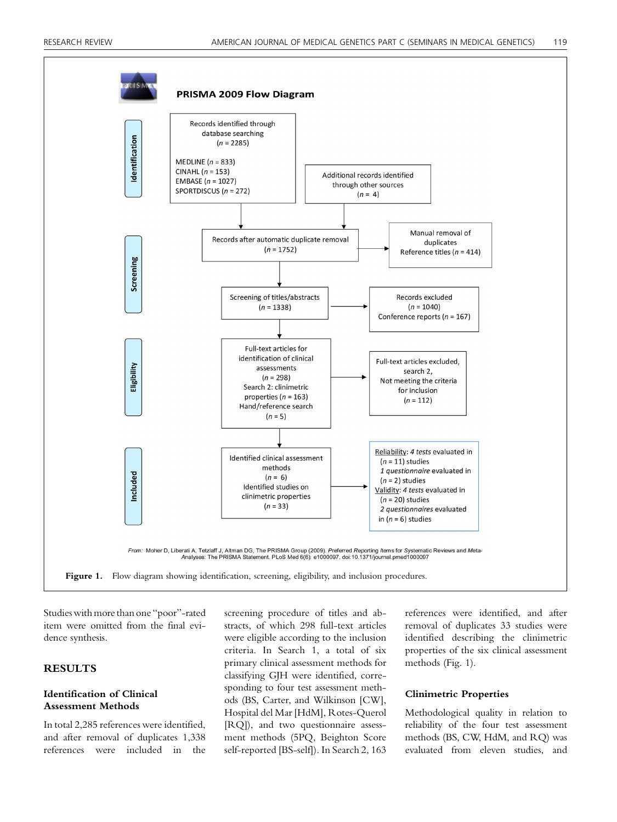

Studies with more than one "poor"-rated item were omitted from the final evidence synthesis.

## **RESULTS**

## Identification of Clinical Assessment Methods

In total 2,285 references were identified, and after removal of duplicates 1,338 references were included in the screening procedure of titles and abstracts, of which 298 full-text articles were eligible according to the inclusion criteria. In Search 1, a total of six primary clinical assessment methods for classifying GJH were identified, corresponding to four test assessment methods (BS, Carter, and Wilkinson [CW], Hospital del Mar [HdM], Rotes-Querol [RQ]), and two questionnaire assessment methods (5PQ, Beighton Score self-reported [BS-self]). In Search 2, 163

references were identified, and after removal of duplicates 33 studies were identified describing the clinimetric properties of the six clinical assessment methods (Fig. 1).

#### Clinimetric Properties

Methodological quality in relation to reliability of the four test assessment methods (BS, CW, HdM, and RQ) was evaluated from eleven studies, and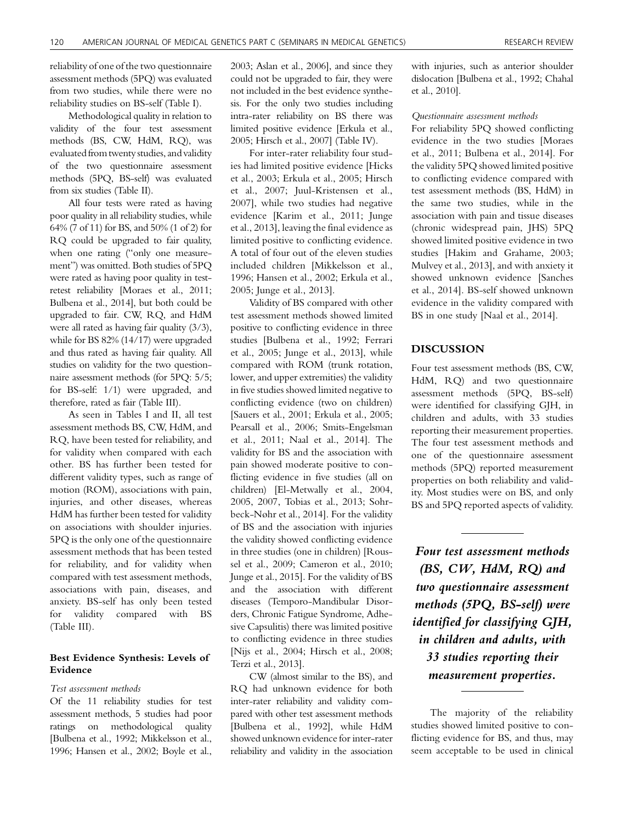reliability of one of the two questionnaire assessment methods (5PQ) was evaluated from two studies, while there were no reliability studies on BS-self (Table I).

Methodological quality in relation to validity of the four test assessment methods (BS, CW, HdM, RQ), was evaluated from twenty studies, and validity of the two questionnaire assessment methods (5PQ, BS-self) was evaluated from six studies (Table II).

All four tests were rated as having poor quality in all reliability studies, while 64% (7 of 11) for BS, and 50% (1 of 2) for RQ could be upgraded to fair quality, when one rating ("only one measurement") was omitted. Both studies of 5PQ were rated as having poor quality in testretest reliability [Moraes et al., 2011; Bulbena et al., 2014], but both could be upgraded to fair. CW, RQ, and HdM were all rated as having fair quality (3/3), while for BS 82% (14/17) were upgraded and thus rated as having fair quality. All studies on validity for the two questionnaire assessment methods (for 5PQ: 5/5; for BS-self: 1/1) were upgraded, and therefore, rated as fair (Table III).

As seen in Tables I and II, all test assessment methods BS, CW, HdM, and RQ, have been tested for reliability, and for validity when compared with each other. BS has further been tested for different validity types, such as range of motion (ROM), associations with pain, injuries, and other diseases, whereas HdM has further been tested for validity on associations with shoulder injuries. 5PQ is the only one of the questionnaire assessment methods that has been tested for reliability, and for validity when compared with test assessment methods, associations with pain, diseases, and anxiety. BS-self has only been tested for validity compared with BS (Table III).

## Best Evidence Synthesis: Levels of Evidence

#### Test assessment methods

Of the 11 reliability studies for test assessment methods, 5 studies had poor ratings on methodological quality [Bulbena et al., 1992; Mikkelsson et al., 1996; Hansen et al., 2002; Boyle et al., 2003; Aslan et al., 2006], and since they could not be upgraded to fair, they were not included in the best evidence synthesis. For the only two studies including intra-rater reliability on BS there was limited positive evidence [Erkula et al., 2005; Hirsch et al., 2007] (Table IV).

For inter-rater reliability four studies had limited positive evidence [Hicks et al., 2003; Erkula et al., 2005; Hirsch et al., 2007; Juul-Kristensen et al., 2007], while two studies had negative evidence [Karim et al., 2011; Junge et al., 2013], leaving the final evidence as limited positive to conflicting evidence. A total of four out of the eleven studies included children [Mikkelsson et al., 1996; Hansen et al., 2002; Erkula et al., 2005; Junge et al., 2013].

Validity of BS compared with other test assessment methods showed limited positive to conflicting evidence in three studies [Bulbena et al., 1992; Ferrari et al., 2005; Junge et al., 2013], while compared with ROM (trunk rotation, lower, and upper extremities) the validity in five studies showed limited negative to conflicting evidence (two on children) [Sauers et al., 2001; Erkula et al., 2005; Pearsall et al., 2006; Smits-Engelsman et al., 2011; Naal et al., 2014]. The validity for BS and the association with pain showed moderate positive to conflicting evidence in five studies (all on children) [El-Metwally et al., 2004, 2005, 2007, Tobias et al., 2013; Sohrbeck-Nøhr et al., 2014]. For the validity of BS and the association with injuries the validity showed conflicting evidence in three studies (one in children) [Roussel et al., 2009; Cameron et al., 2010; Junge et al., 2015]. For the validity of BS and the association with different diseases (Temporo-Mandibular Disorders, Chronic Fatigue Syndrome, Adhesive Capsulitis) there was limited positive to conflicting evidence in three studies [Nijs et al., 2004; Hirsch et al., 2008; Terzi et al., 2013].

CW (almost similar to the BS), and RQ had unknown evidence for both inter-rater reliability and validity compared with other test assessment methods [Bulbena et al., 1992], while HdM showed unknown evidence for inter-rater reliability and validity in the association

with injuries, such as anterior shoulder dislocation [Bulbena et al., 1992; Chahal et al., 2010].

#### Questionnaire assessment methods

For reliability 5PQ showed conflicting evidence in the two studies [Moraes et al., 2011; Bulbena et al., 2014]. For the validity 5PQ showed limited positive to conflicting evidence compared with test assessment methods (BS, HdM) in the same two studies, while in the association with pain and tissue diseases (chronic widespread pain, JHS) 5PQ showed limited positive evidence in two studies [Hakim and Grahame, 2003; Mulvey et al., 2013], and with anxiety it showed unknown evidence [Sanches et al., 2014]. BS-self showed unknown evidence in the validity compared with BS in one study [Naal et al., 2014].

#### **DISCUSSION**

Four test assessment methods (BS, CW, HdM, RQ) and two questionnaire assessment methods (5PQ, BS-self) were identified for classifying GJH, in children and adults, with 33 studies reporting their measurement properties. The four test assessment methods and one of the questionnaire assessment methods (5PQ) reported measurement properties on both reliability and validity. Most studies were on BS, and only BS and 5PQ reported aspects of validity.

Four test assessment methods (BS, CW, HdM, RQ) and two questionnaire assessment methods (5PQ, BS-self) were identified for classifying GJH, in children and adults, with 33 studies reporting their measurement properties.

The majority of the reliability studies showed limited positive to conflicting evidence for BS, and thus, may seem acceptable to be used in clinical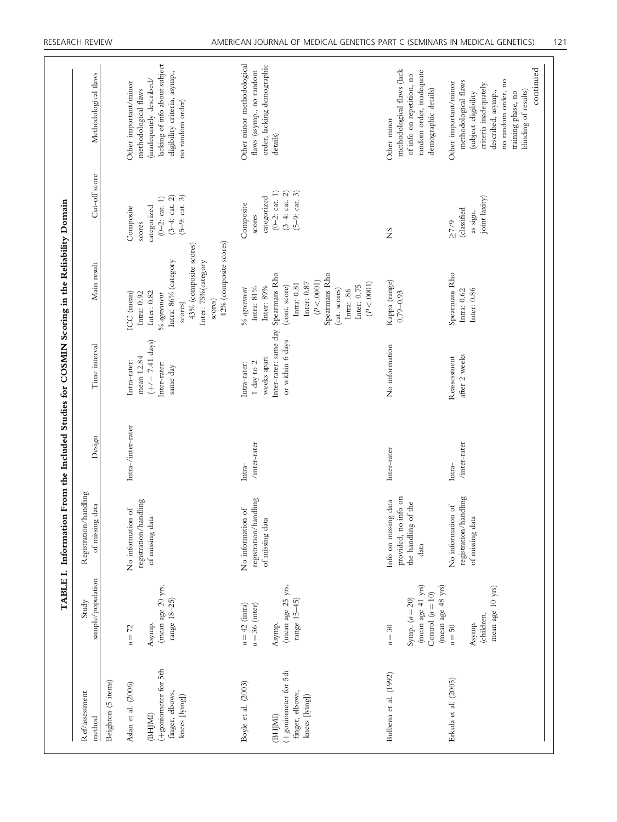|                                                           |                                             | TABLE I. Information From the Included Studies for COSMIN Scoring in the Reliability Domain |                           |                                           |                                                              |                                                               |                                                                    |
|-----------------------------------------------------------|---------------------------------------------|---------------------------------------------------------------------------------------------|---------------------------|-------------------------------------------|--------------------------------------------------------------|---------------------------------------------------------------|--------------------------------------------------------------------|
| Ref/assessment<br>method                                  | sample/population<br>Study                  | Registration/handling<br>of missing data                                                    | Design                    | Time interval                             | Main result                                                  | Cut-off score                                                 | Methodological flaws                                               |
| Beighton (5 items)                                        |                                             |                                                                                             |                           |                                           |                                                              |                                                               |                                                                    |
| Aslan et al. (2006)                                       | $n=72$                                      | registration/handling<br>No information of                                                  | Intra-/inter-rater        | mean 12.84<br>Intra-rater:                | ICC (mean)<br>Intra: 0.92                                    | Composite<br>scores                                           | Other important/minor<br>methodological flaws                      |
| (BHIMI)                                                   | Asymp.                                      | of missing data                                                                             |                           | $(+/- 7.41 \text{ days})$                 | Inter: 0.82                                                  | categorized                                                   | (inadequately described/                                           |
| (+goniometer for 5th<br>finger, elbows,                   | (mean age 20 yrs,<br>range 18-25)           |                                                                                             |                           | Inter-rater:<br>same day                  | Intra: 86% (category<br>$\%$ agreement                       | $(3-4:cat. 2)$<br>$(0-2;$ cat. 1)                             | lacking of info about subject<br>eligibility criteria, asymp.,     |
| knees [lying])                                            |                                             |                                                                                             |                           |                                           | 43% (composite scores)<br>scores)                            | $(5-9:cat. 3)$                                                | no random order)                                                   |
|                                                           |                                             |                                                                                             |                           |                                           | 42% (composite scores)<br>Inter: 75% (category<br>scores)    |                                                               |                                                                    |
| Boyle et al. (2003)                                       | $n = 42$ (intra)<br>$n = 36$ (inter)        | registration/handling<br>No information of                                                  | $/$ inter-rater<br>Intra- | Intra-rater:<br>$1$ day to $2$            | Intra: $81\%$<br>$\%$ agreement                              | Composite<br>scores                                           | Other minor methodological<br>flaws (asymp., no random             |
| (BHJMI)                                                   |                                             | of missing data                                                                             |                           | weeks apart                               | Inter: 89%                                                   | categorized                                                   | order, lacking demographic<br>details)                             |
| (+goniometer for 5th<br>finger, elbows,<br>knees [lying]) | (mean age 25 yrs,<br>range 15-45)<br>Asymp. |                                                                                             |                           | Inter-rater: same day<br>or within 6 days | Spearmans Rho<br>Intra: 0.81<br>Inter: 0.87<br>(cont. score) | $(3-4; \text{ cat. } 2)$<br>$(5-9:cat. 3)$<br>$(0-2;$ cat. 1) |                                                                    |
|                                                           |                                             |                                                                                             |                           |                                           | Spearmans Rho<br>(P < .0001)<br>(cat. scores)<br>Intra: .86  |                                                               |                                                                    |
|                                                           |                                             |                                                                                             |                           |                                           | (P < .0001)<br>Inter: $0.75$                                 |                                                               |                                                                    |
| Bulbena et al. (1992)                                     | $n=30$                                      | provided, no info on<br>Info on missing data                                                | Inter-rater               | No information                            | Kappa (range)<br>$0.79 - 0.93$                               | S                                                             | methodological flaws (lack<br>Other minor                          |
|                                                           | (mean age 41 yrs)<br>Symp. $(n=20)$         | the handling of the<br>data                                                                 |                           |                                           |                                                              |                                                               | random order, inadequate<br>of info on repetition, no              |
|                                                           | (mean age 48 yrs)<br>Control $(n = 10)$     |                                                                                             |                           |                                           |                                                              |                                                               | demographic details)                                               |
| Erkula et al. (2005)                                      | $n = 50$                                    | No information of                                                                           | Intra-                    | Reassessment                              | Spearmans Rho                                                | (classified<br>$\geq 7/9$                                     | Other important/minor                                              |
|                                                           | Asymp.                                      | registration/handling<br>of missing data                                                    | /inter-rater              | after 2 weeks                             | Inter: 0.86<br>Intra: $0.62$                                 | as sign.                                                      | methodological flaws<br>(subject eligibility                       |
|                                                           | mean age 10 yrs)<br>(children,              |                                                                                             |                           |                                           |                                                              | joint laxity)                                                 | no random order, no<br>criteria inadequately<br>described, asymp., |
|                                                           |                                             |                                                                                             |                           |                                           |                                                              |                                                               | blinding of results)<br>training phase, no                         |
|                                                           |                                             |                                                                                             |                           |                                           |                                                              |                                                               | continued                                                          |
|                                                           |                                             |                                                                                             |                           |                                           |                                                              |                                                               |                                                                    |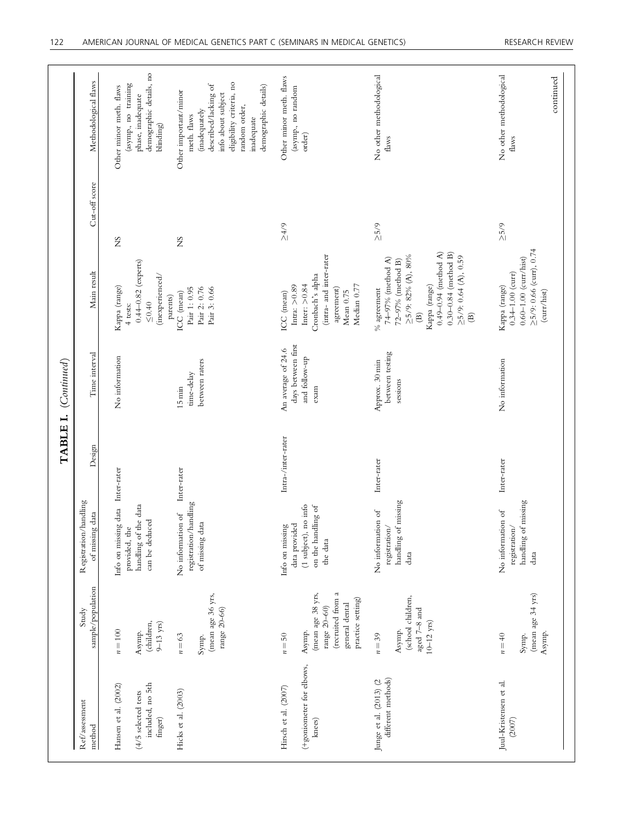| Ref/assessment<br>$% \left\vert \left( \mathbf{r}_{i}\right) \right\rangle$ method   | sample/population<br>Study                                                                                           | Registration/handling<br>data<br>of missing                                                 | Design             | Time interval                                                     | Main result                                                                                                                                                                                                                                          | Cut-off score | Methodological flaws                                                                                                                                                                   |
|--------------------------------------------------------------------------------------|----------------------------------------------------------------------------------------------------------------------|---------------------------------------------------------------------------------------------|--------------------|-------------------------------------------------------------------|------------------------------------------------------------------------------------------------------------------------------------------------------------------------------------------------------------------------------------------------------|---------------|----------------------------------------------------------------------------------------------------------------------------------------------------------------------------------------|
| included, no 5th<br>Hansen et al. (2002)<br>$(4/5$ selected tests<br>${\rm finger})$ | (children,<br>$9-13$ yrs)<br>$n\!=\!100$<br>Asymp.                                                                   | Info on missing data Inter-rater<br>handling of the data<br>can be deduced<br>provided, the |                    | No information                                                    | $0.44 - 0.82$ (experts)<br>(inexperienced/<br>Kappa (range)<br>${\leq}0.40$<br>4 tests:                                                                                                                                                              | SX            | demographic details, no<br>(asymp., no training<br>Other minor meth. flaws<br>phase, inadequate<br>blinding)                                                                           |
| Hicks et al. (2003)                                                                  | (mean age 36 yrs,<br>range 20-66)<br>$n = 63$<br>Symp.                                                               | registration/handling<br>No information of<br>of missing data                               | Inter-rater        | between raters<br>time-delay<br>$15 \text{ min}$                  | Pair 2: 0.76<br>Pair 1: 0.95<br>Pair 3: 0.66<br>ICC (mean)<br>parents)                                                                                                                                                                               | ŠN            | eligibility criteria, no<br>described/lacking of<br>demographic details)<br>Other important/minor<br>info about subject<br>random order,<br>(inadequately<br>meth. flaws<br>inadequate |
| (+goniometer for elbows,<br>Hirsch et al. (2007)<br>$k$ nees)                        | (recruited from a<br>(mean age 38 yrs,<br>practice setting)<br>general dental<br>range $20-60$ )<br>Asymp.<br>$n=50$ | (1 subject), no info<br>on the handling of<br>Info on missing<br>data provided<br>the data  | Intra-/inter-rater | days between first<br>An average of 24.6<br>and follow-up<br>exam | (intra- and inter-rater<br>Cronbach's alpha<br>Inter: $> 0.84$<br>Intra: $>0.89$<br>Median 0.77<br>agreement)<br>Mean 0.75<br>ICC (mean)                                                                                                             | $5/75$        | Other minor meth. flaws<br>(asymp., no random<br>order)                                                                                                                                |
| different methods)<br>Junge et al. (2013) (2                                         | (school children,<br>aged 7-8 and<br>$10-12$ yrs)<br>Asymp.<br>$n=39$                                                | missing<br>No information of<br>registration/<br>handling of<br>data                        | Inter-rater        | between testing<br>Approx. 30 min<br>sessions                     | $0.49 - 0.94$ (method A)<br>$0.30 - 0.84$ (method B)<br>$\geq 5/9$ : 0.64 (A), 0.59<br>$\geq$ 5/9: 82% (A), 80%<br>74–97% (method A)<br>72-97% (method B)<br>Kappa (range)<br>$\%$ agreement<br>$\widehat{\mathfrak{B}}$<br>$\widehat{\mathfrak{B}}$ | $\geq 5/9$    | No other methodological<br>flaws                                                                                                                                                       |
| Juul-Kristensen et al.<br>(2007)                                                     | (mean age 34 yrs)<br>Asymp.<br>Symp.<br>$n=40$                                                                       | missing<br>No information of<br>registration<br>handling of<br>data                         | Inter-rater        | No information                                                    | $\geq 5/9$ : 0.66 (curr), 0.74<br>$0.60\hbox{--}1.00~(\hbox{cur/hist})$<br>$0.34 - 1.00$ (curr)<br>Kappa (range)<br>(curr/hist)                                                                                                                      | $\geq 5/9$    | No other methodological<br>continued<br>flaws                                                                                                                                          |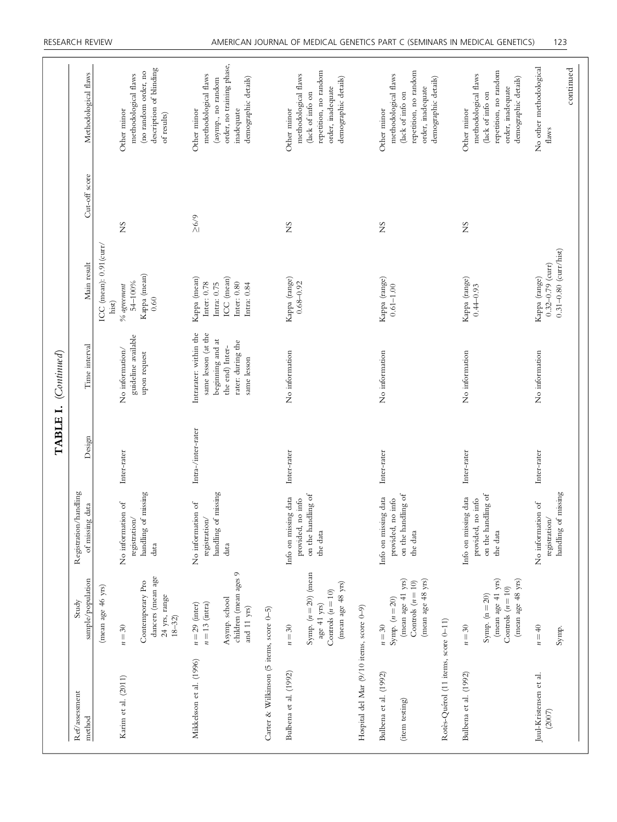|                                                                                |                                                                                                      |                                                                                    | TABLE I.           | (Continued)                                                                                                              |                                                                                                |               |                                                                                                                               |
|--------------------------------------------------------------------------------|------------------------------------------------------------------------------------------------------|------------------------------------------------------------------------------------|--------------------|--------------------------------------------------------------------------------------------------------------------------|------------------------------------------------------------------------------------------------|---------------|-------------------------------------------------------------------------------------------------------------------------------|
| $\mathrm{Re}\mathrm{f}/\mathrm{ass}$ ssessment<br>method                       | sample/population<br>Study                                                                           | Registration/handling<br>of missing data                                           | Design             | Time interval                                                                                                            | Main result                                                                                    | Cut-off score | Methodological flaws                                                                                                          |
| Karim et al. (2011)                                                            | dancers (mean age<br>Contemporary Pro<br>(mean age 46 yrs)<br>24 yrs, range<br>$18 - 32$<br>$n = 30$ | handling of missing<br>No information of<br>registration/<br>data                  | Inter-rater        | guideline available<br>No information/<br>upon request                                                                   | ICC (mean): 0.91(curr/<br>Kappa (mean)<br>54-100%<br>$\%$ agreement<br>0.60<br>hist)           | SN            | description of blinding<br>(no random order, no<br>methodological flaws<br>Other minor<br>of results)                         |
| Carter & Wilkinson (5 items, score 0-5)<br>Mikkelsson et al. (1996)            | children (mean ages 9<br>Asymp. school<br>$n = 13$ (intra)<br>$n = 29$ (inter)<br>and 11 yrs)        | handling of missing<br>No information of<br>$\operatorname{registration}/$<br>data | Intra-/inter-rater | Intrarater: within the<br>same lesson (at the<br>beginning and at<br>rater: during the<br>the end) Inter-<br>same lesson | Kappa (mean)<br>ICC (mean)<br>Inter: 0.80<br>Inter: 0.78<br>Intra: $0.75\,$<br>Intra: $0.84\,$ | $\geq 6/9$    | order, no training phase,<br>methodological flaws<br>demographic details)<br>(asymp., no random<br>inadequate<br>Other minor  |
| Hospital del Mar (9/10 items, score 0-9)<br>Bulbena et al. (1992)              | Symp. $(n=20)$ (mean<br>(mean age 48 yrs)<br>Controls $(n=10)$<br>age 41 yrs)<br>$n = 30$            | on the handling of<br>Info on missing data<br>provided, no info<br>the data        | Inter-rater        | No information                                                                                                           | Kappa (range)<br>$0.68 - 0.92$                                                                 | SN            | repetition, no random<br>methodological flaws<br>demographic details)<br>order, inadequate<br>(lack of info on<br>Other minor |
| Rotès-Quérol (11 items, score 0-11)<br>Bulbena et al. (1992)<br>(item testing) | (mean age 48 yrs)<br>(mean age 41 yrs)<br>Controls $(n=10)$<br>Symp. $(n=20)$<br>$n=30$              | on the handling of<br>Info on missing data<br>no info<br>provided,<br>the data     | Inter-rater        | No information                                                                                                           | Kappa (range)<br>$0.61 - 1.00$                                                                 | SN            | repetition, no random<br>methodological flaws<br>demographic details)<br>order, inadequate<br>(lack of info on<br>Other minor |
| Bulbena et al. (1992)                                                          | (mean age 48 yrs)<br>(mean age 41 yrs)<br>Controls $(n = 10)$<br>Symp. $(n = 20)$<br>$n=30$          | on the handling of<br>Info on missing data<br>provided, no info<br>the data        | Inter-rater        | No information                                                                                                           | Kappa (range)<br>$0.44 - 0.93$                                                                 | Σ             | repetition, no random<br>methodological flaws<br>demographic details)<br>order, inadequate<br>(lack of info on<br>Other minor |
| Juul-Kristensen et al.<br>(2007)                                               | $n = 40$<br>Symp.                                                                                    | handling of missing<br>No information of<br>registration/                          | Inter-rater        | No information                                                                                                           | $0.31 - 0.80$ (curr/hist)<br>$0.32 - 0.79$ (curr)<br>Kappa (range)                             |               | No other methodological<br>continued<br>flaws                                                                                 |
|                                                                                |                                                                                                      |                                                                                    |                    |                                                                                                                          |                                                                                                |               |                                                                                                                               |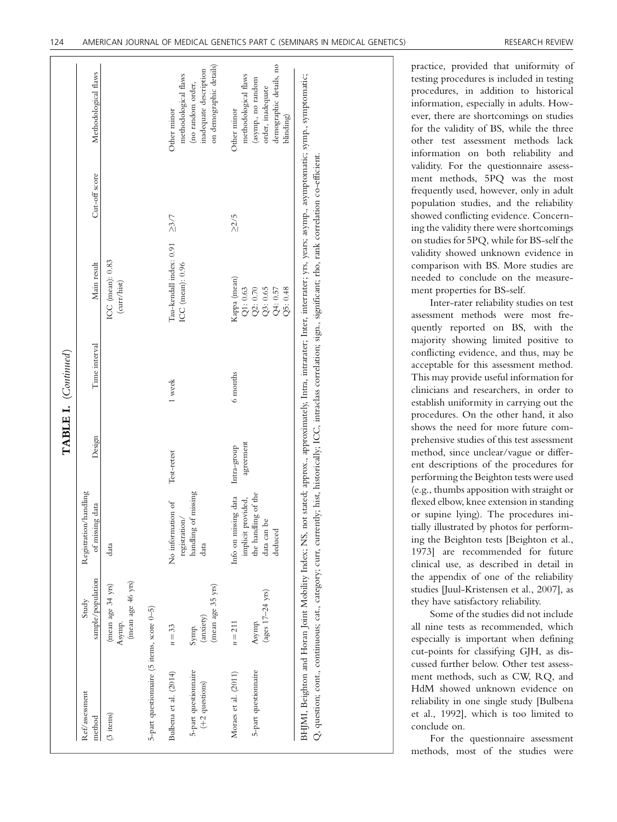|                                                |                                                  |                                               |             | TABLE I. (Continued) |                                                                                                                                                                                                                                                                                                                                                             |               |                                                                                    |
|------------------------------------------------|--------------------------------------------------|-----------------------------------------------|-------------|----------------------|-------------------------------------------------------------------------------------------------------------------------------------------------------------------------------------------------------------------------------------------------------------------------------------------------------------------------------------------------------------|---------------|------------------------------------------------------------------------------------|
| Ref/assessment<br>method                       | sample/population<br>Study                       | Registration/handling<br>of missing data      | Design      | Time interval        | Main result                                                                                                                                                                                                                                                                                                                                                 | Cut-off score | Methodological flaws                                                               |
| $(3$ items $)$                                 | (mean age 46 yrs)<br>(mean age 34 yrs)<br>Asymp. | data                                          |             |                      | ICC (mean): 0.83<br>(curr/hist)                                                                                                                                                                                                                                                                                                                             |               |                                                                                    |
| 5-part questionnaire (5 items, score 0-5)      |                                                  |                                               |             |                      |                                                                                                                                                                                                                                                                                                                                                             |               |                                                                                    |
| Bulbena et al. (2014)                          | $n=33$                                           | No information of<br>registration/            | Test-retest | 1 week               | Tau-kendall index: 0.91<br>ICC (mean): 0.96                                                                                                                                                                                                                                                                                                                 | $\geq 3/7$    | methodological flaws<br>Other minor                                                |
| 5-part questionnaire<br>$(+2~{\rm questions})$ | (mean age 35 yrs)<br>(anxiety)<br>Symp.          | handling of missing<br>data                   |             |                      |                                                                                                                                                                                                                                                                                                                                                             |               | on demographic details)<br>inadequate description<br>(no random order,             |
| Moraes et al. (2011)                           | $n = 211$                                        | Info on missing data<br>implicit provided,    | Intra-group | 6 months             | Kappa (mean)                                                                                                                                                                                                                                                                                                                                                | $\geq$ 2/5    | methodological flaws<br>Other minor                                                |
| 5-part questionnaire                           | (ages $17-24$ yrs)<br>Asymp.                     | the handling of the<br>data can be<br>deduced | agreement   |                      | Q1: 0.63<br>Q2: 0.70<br>Q3: 0.65<br>Q4: 0.57<br>Q5: 0.48                                                                                                                                                                                                                                                                                                    |               | demographic details, no<br>(asymp., no random<br>order, inadequate<br>$b$ linding) |
|                                                |                                                  |                                               |             |                      | BHJMI, Beighton and Horan Joint Mobility Index; NS, not stated; approx., approximately, Intra, intrarater; Inter, interrater; yrs, years; asymp, asymptomatic; symp, symptomatic;<br>Q, question; cont, continuous; cat, category; curr, currently; hist, historically; ICC, intraclass correlation; sign, significant; rho, rank correlation co-efficient. |               |                                                                                    |

practice, provided that uniformity of testing procedures is included in testing procedures, in addition to historical information, especially in adults. However, there are shortcomings on studies for the validity of BS, while the three other test assessment methods lack information on both reliability and validity. For the questionnaire assessment methods, 5PQ was the most frequently used, however, only in adult population studies, and the reliability showed conflicting evidence. Concerning the validity there were shortcomings on studies for 5PQ, while for BS-self the validity showed unknown evidence in comparison with BS. More studies are needed to conclude on the measurement properties for BS-self.

Inter-rater reliability studies on test assessment methods were most frequently reported on BS, with the majority showing limited positive to conflicting evidence, and thus, may be acceptable for this assessment method. This may provide useful information for clinicians and researchers, in order to establish uniformity in carrying out the procedures. On the other hand, it also shows the need for more future comprehensive studies of this test assessment method, since unclear/vague or different descriptions of the procedures for performing the Beighton tests were used (e.g., thumbs apposition with straight or flexed elbow, knee extension in standing or supine lying). The procedures initially illustrated by photos for performing the Beighton tests [Beighton et al., 1973] are recommended for future clinical use, as described in detail in the appendix of one of the reliability studies [Juul-Kristensen et al., 2007], as they have satisfactory reliability.

Some of the studies did not include all nine tests as recommended, which especially is important when defining cut-points for classifying GJH, as discussed further below. Other test assessment methods, such as CW, RQ, and HdM showed unknown evidence on reliability in one single study [Bulbena et al., 1992], which is too limited to conclude on.

For the questionnaire assessment methods, most of the studies were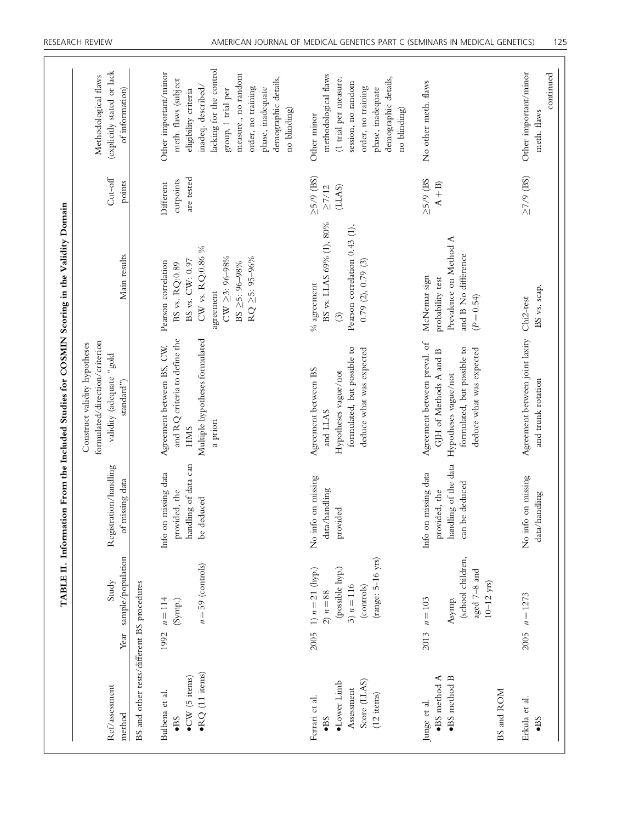|                                                                                                      |                   |                                                                                                              |                                                                                 | TABLE II. Information From the Included Studies for COSMIN Scoring in the Validity Domain                                                 |                                                                                                                                                              |                                              |                                                                                                                                                                                                                                                        |
|------------------------------------------------------------------------------------------------------|-------------------|--------------------------------------------------------------------------------------------------------------|---------------------------------------------------------------------------------|-------------------------------------------------------------------------------------------------------------------------------------------|--------------------------------------------------------------------------------------------------------------------------------------------------------------|----------------------------------------------|--------------------------------------------------------------------------------------------------------------------------------------------------------------------------------------------------------------------------------------------------------|
| Ref/assessment<br>method                                                                             |                   | Year sample/population<br>Study                                                                              | Registration/handling<br>of missing data                                        | formulated/direction/criterion<br>Construct validity hypotheses<br>blog <sup>2</sup> , adequate 'gold<br>standard")                       | Main results                                                                                                                                                 | $\mathrm{Cut}\text{-}\mathrm{off}$<br>points | (explicitly stated or lack<br>Methodological flaws<br>of information)                                                                                                                                                                                  |
| BS and other tests/different BS procedures                                                           |                   |                                                                                                              |                                                                                 |                                                                                                                                           |                                                                                                                                                              |                                              |                                                                                                                                                                                                                                                        |
| $\bullet$ RQ (11 items)<br>$\bullet$ CW (5 items)<br>Bulbena et al.<br>$\bullet$ BS                  | 1992 $n = 114$    | $n = 59$ (controls)<br>$\left( \text{Symp.}\right)$                                                          | handling of data can<br>Info on missing data<br>provided, the<br>be deduced     | and RQ criteria to define the<br>Multiple hypotheses formulated<br>Agreement between BS, CW,<br>a priori<br><b>HMS</b>                    | CW vs. RQ:0.86 $\%$<br>$CW \geq 3: 96-98\%$<br>RQ ≥5: 95-96%<br>BS vs. CW: 0.97<br>Pearson correlation<br>BS $\geq$ 5: 96–98%<br>BS vs. RQ:0.89<br>agreement | are tested<br>cutpoints<br>Different         | lacking for the control<br>Other important/minor<br>measure., no random<br>demographic details,<br>meth. flaws (subject<br>inadeq. described/<br>order, no training<br>phase, inadequate<br>eligibility criteria<br>group, 1 trial per<br>no blinding) |
| Score (LLAS)<br>$\bullet$ Lower Limb<br>Assessment<br>$(12$ items)<br>Ferrari et al.<br>$\bullet$ BS |                   | (range: 5-16 yrs)<br>2005 1) $n = 21$ (hyp.)<br>(possible hyp.)<br>3) $n = 116$<br>(controls)<br>2) $n = 88$ | No info on missing<br>data/handling<br>provided                                 | formulated, but possible to<br>deduce what was expected<br>Agreement between BS<br>Hypotheses vague/not<br>and LLAS                       | BS vs. LLAS 69% (1), 80%<br>Pearson correlation 0.43 (1),<br>0.79(2), 0.79(3)<br>$\%$ agreement<br>$\odot$                                                   | $\geq$ 5/9 (BS)<br>(LLAS)<br>$\geq$ 7/12     | methodological flaws<br>demographic details,<br>(1 trial per measure.<br>session, no random<br>order, no training<br>phase, inadequate<br>no blinding)<br>Other minor                                                                                  |
| ·BS method B<br>$\bullet$ BS method A<br>BS and ROM<br>Junge et al.                                  | 2013              | (school children,<br>aged 7-8 and<br>$10-12$ yrs)<br>Asymp.<br>$n = 103$                                     | handling of the data<br>Info on missing data<br>can be deduced<br>provided, the | Agreement between preval. of<br>formulated, but possible to<br>deduce what was expected<br>GJH of Methods A and B<br>Hypotheses vague/not | Prevalence on Method A<br>and B No difference<br>McNemar sign<br>probability test<br>$(P=0.54)$                                                              | $\geq 5/9$ (BS<br>$A + B$                    | No other meth. flaws                                                                                                                                                                                                                                   |
| Erkula et al.<br>$\bullet$ BS                                                                        | $2005$ $n = 1273$ |                                                                                                              | No info on missing<br>data/handling                                             | Agreement between joint laxity<br>and trunk rotation                                                                                      | BS vs. scap.<br>Chi <sub>2-test</sub>                                                                                                                        | $\geq$ 7/9 (BS)                              | Other important/minor<br>continued<br>meth. flaws                                                                                                                                                                                                      |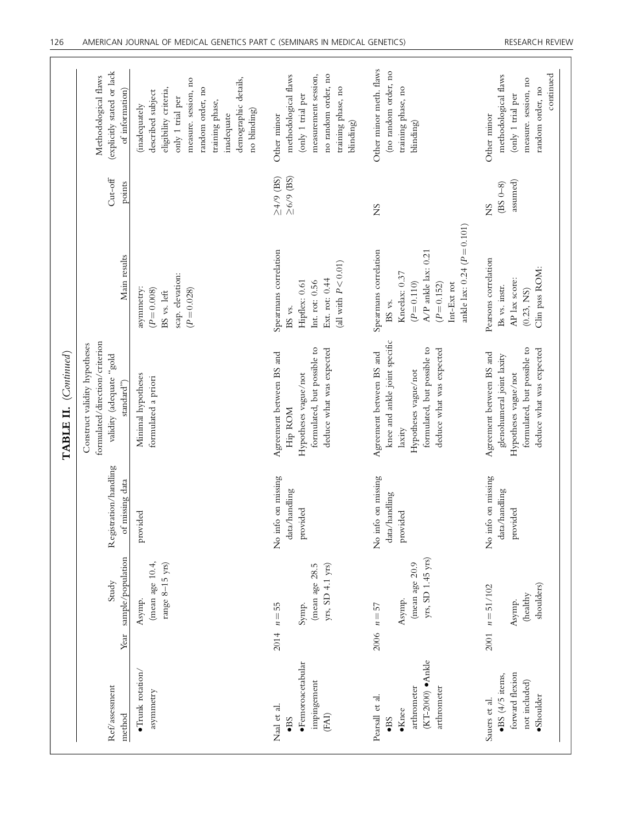|                                                                                                      |      |                                                                    |                                                 | (Continued)<br>TABLE II.                                                                                                                               |                                                                                                                                                           |                                   |                                                                                                                                                                                                      |
|------------------------------------------------------------------------------------------------------|------|--------------------------------------------------------------------|-------------------------------------------------|--------------------------------------------------------------------------------------------------------------------------------------------------------|-----------------------------------------------------------------------------------------------------------------------------------------------------------|-----------------------------------|------------------------------------------------------------------------------------------------------------------------------------------------------------------------------------------------------|
| Ref/assessment<br>method                                                                             | Year | sample/population<br>Study                                         | Registration/handling<br>of missing data        | formulated/direction/criterion<br>Construct validity hypotheses<br>blog" stapped adeptical<br>$\mathrm{standard} \text{''}$ )                          | Main results                                                                                                                                              | $Cut-off$<br>points               | (explicitly stated or lack<br>Methodological flaws<br>of information)                                                                                                                                |
| $\bullet$ Trunk rotation/<br>asymmetry                                                               |      | (mean age 10.4,<br>range $8-15$ yrs)<br>Asymp.                     | provided                                        | Minimal hypotheses<br>formulated a priori                                                                                                              | scap. elevation:<br>asymmetry:<br>$(P = 0.008)$<br>$(P = 0.028)$<br>BS vs. left                                                                           |                                   | demographic details,<br>measure. session, no<br>random order, no<br>eligibility criteria,<br>described subject<br>only 1 trial per<br>training phase,<br>(inadequately<br>no blinding)<br>inadequate |
| $\bullet$ Femoroacetabular<br>impingement<br>Naal et al.<br>$(\mathrm{FAI})$<br>$-BS$                |      | yrs, SD 4.1 yrs)<br>(mean age 28.5<br>$2014 \quad n = 55$<br>Symp. | No info on missing<br>data/handling<br>provided | formulated, but possible to<br>deduce what was expected<br>Agreement between BS and<br>Hypotheses vague/not<br>Hip ROM                                 | Spearmans correlation<br>(all with $P < 0.01$ )<br>Ext. rot: 0.44<br>Hipflex: 0.61<br>Int. rot: $0.56$<br>BS vs.                                          | $\geq$ 6/9 (BS)<br>$\geq4/9$ (BS) | measurement session,<br>no random order, no<br>methodological flaws<br>training phase, no<br>(only 1 trial per<br>Other minor<br>blinding)                                                           |
| (KT-2000) · Ankle<br>arthrometer<br>arthrometer<br>Pearsall et al.<br>$\bullet$ Knee<br>$\bullet$ BS | 2006 | yrs, SD 1.45 yrs)<br>(mean age 20.9<br>Asymp.<br>$n=57$            | No info on missing<br>data/handling<br>provided | knee and ankle joint specific<br>formulated, but possible to<br>deduce what was expected<br>Agreement between BS and<br>Hypotheses vague/not<br>laxity | ankle lax: $0.24 (P = 0.101)$<br>Spearmans correlation<br>A/P ankle lax: 0.21<br>Kneelax: 0.37<br>$(P = 0.110)$<br>Int-Ext rot<br>$(P = 0.152)$<br>BS vs. | SN                                | Other minor meth. flaws<br>(no random order, no<br>training phase, no<br>blinding)                                                                                                                   |
| forward flexion<br>$\bullet$ BS (4/5 items,<br>not included)<br>$\bullet$ Shoulder<br>Sauers et al.  | 2001 | shoulders)<br>$n = 51/102$<br>(healthy<br>Asymp.                   | No info on missing<br>data/handling<br>provided | formulated, but possible to<br>deduce what was expected<br>Agreement between BS and<br>glenohumeral joint laxity<br>Hypotheses vague/not               | Pearsons correlation<br>Clin pass ROM:<br>AP lax score:<br>Bs vs. instr.<br>(0.23, NS)                                                                    | assumed)<br>$(BS 0-8)$<br>SN      | continued<br>methodological flaws<br>measure. session, no<br>random order, no<br>(only 1 trial per<br>Other minor                                                                                    |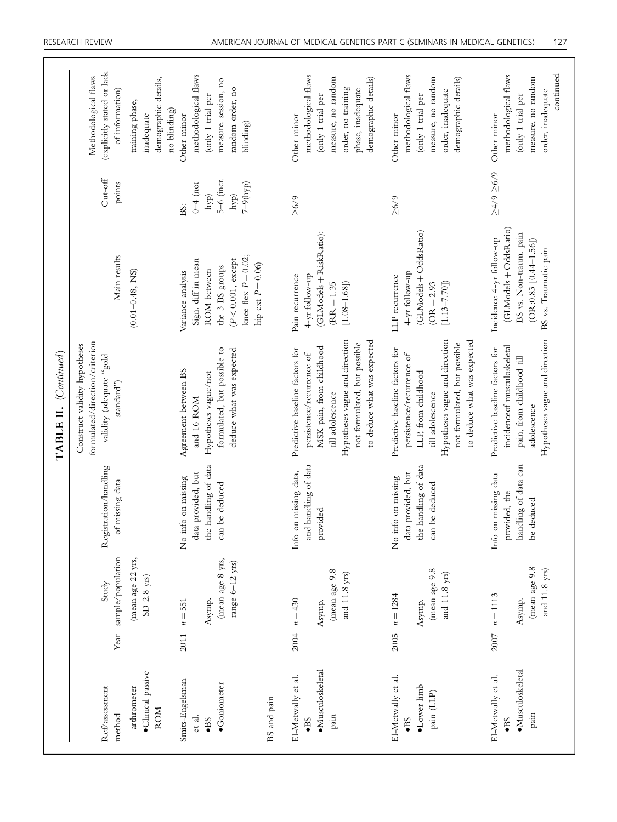|                                                                          |      |                                                              |                                                                                       | (Continued)<br>TABLE II.                                                                                                                                                                                      |                                                                                                                                                   |                                                                   |                                                                                                                                                   |
|--------------------------------------------------------------------------|------|--------------------------------------------------------------|---------------------------------------------------------------------------------------|---------------------------------------------------------------------------------------------------------------------------------------------------------------------------------------------------------------|---------------------------------------------------------------------------------------------------------------------------------------------------|-------------------------------------------------------------------|---------------------------------------------------------------------------------------------------------------------------------------------------|
| Ref/assessment<br>method                                                 | Year | sample/population<br>Study                                   | Registration/handling<br>of missing data                                              | formulated/direction/criterion<br>Construct validity hypotheses<br>blog, andphaba) Aipira<br>standard")                                                                                                       | Main results                                                                                                                                      | Cut-off<br>points                                                 | (explicitly stated or lack<br>Methodological flaws<br>of information)                                                                             |
| ·Clinical passive<br>arthrometer<br><b>ROM</b>                           |      | (mean age 22 yrs,<br>$\text{SD}$ 2.8 yrs)                    |                                                                                       |                                                                                                                                                                                                               | $(0.01 - 0.48, NS)$                                                                                                                               |                                                                   | demographic details,<br>training phase,<br>no blinding)<br>inadequate                                                                             |
| Smits-Engelsman<br>$\bullet$ Goniometer<br>et al.<br>$\bullet$ BS        | 2011 | (mean age 8 yrs,<br>range $6-12$ yrs)<br>Asymp.<br>$n = 551$ | the handling of data<br>data provided, but<br>No info on missing<br>can be deduced    | formulated, but possible to<br>deduce what was expected<br>Agreement between BS<br>Hypotheses vague/not<br>and 16 ROM                                                                                         | knee flex $P = 0.02$ ;<br>$(P<0.001,$ except<br>Sign. diff in mean<br>hip ext $P = 0.06$ )<br>the 3 BS groups<br>ROM between<br>Variance analysis | 5–6 (incr.<br>$7 - 9(hyp)$<br>$0 - 4$ (not<br>hyp)<br>hyp)<br>BS: | methodological flaws<br>measure. session, no<br>random order, no<br>(only 1 trial per<br>Other minor<br>blinding)                                 |
| BS and pain                                                              |      |                                                              |                                                                                       |                                                                                                                                                                                                               |                                                                                                                                                   |                                                                   |                                                                                                                                                   |
| ·Musculoskeletal<br>El-Metwally et al.<br>pain<br>$\bullet$ BS           | 2004 | (mean age 9.8<br>and 11.8 yrs)<br>$n = 430$<br>Asymp.        | and handling of data<br>Info on missing data,<br>provided                             | Hypotheses vague and direction<br>to deduce what was expected<br>not formulated, but possible<br>MSK pain, from childhood<br>Predictive baseline factors for<br>persistence/recurrence of<br>till adolescence | (GLModels + RiskRatio):<br>4-yr follow-up<br>Pain recurrence<br>$[1.08 - 1.68]$<br>$(RR = 1.35)$                                                  | 5/9                                                               | methodological flaws<br>measure, no random<br>demographic details)<br>order, no training<br>phase, inadequate<br>(only 1 trial per<br>Other minor |
| El-Metwally et al.<br>$\bullet$ Lower limb<br>pain (LLP)<br>$\bullet$ BS | 2005 | (mean age 9.8<br>and 11.8 yrs)<br>$n = 1284$<br>Asymp.       | handling of data<br>data provided, but<br>No info on missing<br>can be deduced<br>the | Hypotheses vague and direction<br>to deduce what was expected<br>not formulated, but possible<br>Predictive baseline factors for<br>persistence/recurrence of<br>LLP, from childhood<br>till adolescence      | (GLModels + OddsRatio)<br>4-yr follow-up<br>LLP recurrence<br>$[1.13 - 7.70]$<br>$(OR = 2.93)$                                                    | $5/9$                                                             | methodological flaws<br>measure, no random<br>demographic details)<br>order, inadequate<br>(only 1 trial per<br>Other minor                       |
| ·Musculoskeletal<br>El-Metwally et al.<br>pain<br>$\bullet$ BS           | 2007 | (mean age 9.8<br>and 11.8 yrs)<br>$n = 1113$<br>Asymp.       | handling of data can<br>Info on missing data<br>provided, the<br>be deduced           | Hypotheses vague and direction<br>incidence of musculoskeletal<br>Predictive baseline factors for<br>pain, from childhood till<br>adolescence                                                                 | (GLModels + OddsRatio)<br>BS vs. Non-traum. pain<br>Incidence 4-yr follow-up<br>$(OR: 0.83 [0.44 - 1.56])$<br>BS vs. Traumatic pain               | $5/9 \le 6/8$                                                     | continued<br>methodological flaws<br>measure, no random<br>order, inadequate<br>(only 1 trial per<br>Other minor                                  |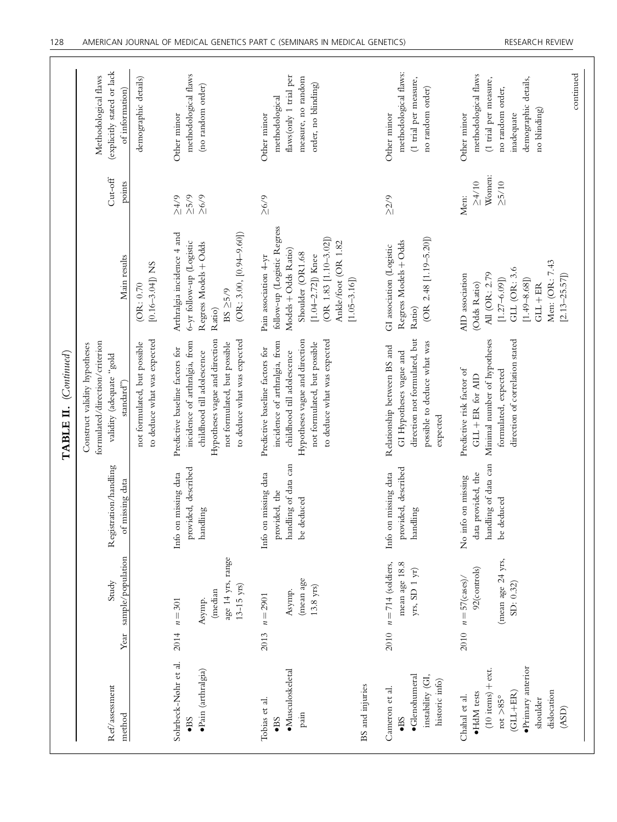|                                |                                                                                         |                                                                                   | formulated/direction/criterion<br>Construct validity hypotheses<br>TABLE II. (Continued)                                                                                                        |                                                                                                                                                                                               |                                              | Methodological flaws                                                                                                                                |
|--------------------------------|-----------------------------------------------------------------------------------------|-----------------------------------------------------------------------------------|-------------------------------------------------------------------------------------------------------------------------------------------------------------------------------------------------|-----------------------------------------------------------------------------------------------------------------------------------------------------------------------------------------------|----------------------------------------------|-----------------------------------------------------------------------------------------------------------------------------------------------------|
|                                | sample/population<br>Study                                                              | Registration/handling<br>of missing data                                          | to deduce what was expected<br>not formulated, but possible<br>blog,, annbape) Airprra<br>standard")                                                                                            | Main results<br>[0.16-3.04]) NS<br>(OR: 0.70)                                                                                                                                                 | $Cut-off$<br>points                          | (explicitly stated or lack<br>demographic details)<br>of information)                                                                               |
| (median<br>$n = 301$<br>Asymp. | age 14 yrs, range<br>$13 - 15$ yrs)                                                     | provided, described<br>Info on missing data<br>handling                           | to deduce what was expected<br>Hypotheses vague and direction<br>incidence of arthralgia, from<br>not formulated, but possible<br>Predictive baseline factors for<br>childhood till adolescence | Arthralgia incidence 4 and<br>$(OR: 3.00, [0.94-9.60])$<br>6-yr follow-up (Logistic<br>Regress Models + Odds<br>$BS \geq 5/9$<br>Ratio)                                                       | $5/9$<br>26/9<br>$5/75$                      | methodological flaws<br>(no random order)<br>Other minor                                                                                            |
| $n = 2901$<br>2013             | (mean age<br>$13.8$ yrs)<br>Asymp.                                                      | handling of data can<br>Info on missing data<br>provided, the<br>deduced<br>$b$ e | to deduce what was expected<br>Hypotheses vague and direction<br>incidence of arthralgia, from<br>not formulated, but possible<br>Predictive baseline factors for<br>childhood till adolescence | follow-up (Logistic Regress<br>(OR 1.83 [1.10-3.02])<br>Ankle/foot (OR 1.82<br>Models + Odds Ratio)<br>Shoulder (OR1.68<br>$[1.04 - 2.72]$ ) Knee<br>Pain association 4-yr<br>$[1.05 - 3.16]$ | $\geq 6/9$                                   | flaws(only 1 trial per<br>measure, no random<br>order, no blinding)<br>methodological<br>Other minor                                                |
|                                | mean age 18.8<br>$n = 714$ (soldiers,<br>yrs, SD 1 yr)                                  | provided, described<br>Info on missing data<br>handling                           | direction not formulated, but<br>possible to deduce what was<br>Relationship between BS and<br>GI Hypotheses vague and<br>expected                                                              | $(OR 2.48 [1.19 - 5.20])$<br>Regress Models + Odds<br>GI association (Logistic<br>Ratio)                                                                                                      | $\geq$ 2/9                                   | methodological flaws:<br>(1 trial per measure,<br>no random order)<br>Other minor                                                                   |
|                                | (mean age 24 yrs,<br>92(controls)<br>$2010 \quad n = 57 \, \text{(cases)}$<br>SD: 0.32) | handling of data can<br>data provided, the<br>No info on missing<br>deduced<br>be | direction of correlation stated<br>Minimal number of hypotheses<br>Predictive risk factor of<br>formulated, expected<br>GLL + ER for AID                                                        | Men: (OR: 7.43<br>GLL (OR: 3.6<br>All (OR: 2.79<br>AID association<br>$[2.13 - 25.57]$<br>$[1.27 - 6.09]$<br>$[1.49 - 8.68]$<br>(Odds Ratio)<br>$GLL + ER$                                    | Women:<br>$\geq 5/10$<br>$\geq 4/10$<br>Men: | continued<br>methodological flaws<br>demographic details,<br>(1 trial per measure,<br>no random order,<br>no blinding)<br>Other minor<br>inadequate |

ſ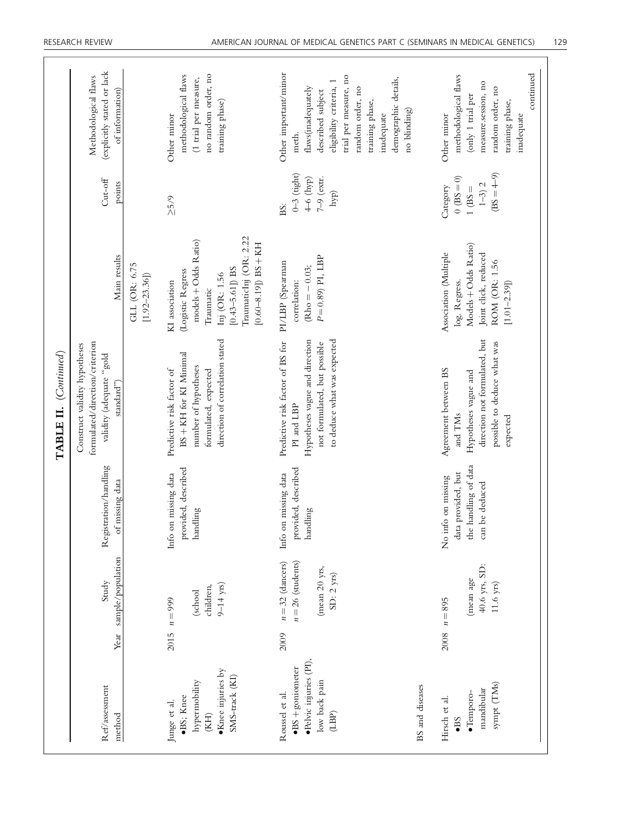|                                                                                           |      |                                                                            |                                                                                    | TABLE II. (Continued)                                                                                                                           |                                                                                                                                                                        |                                                                    |                                                                                                                                                                                                                            |
|-------------------------------------------------------------------------------------------|------|----------------------------------------------------------------------------|------------------------------------------------------------------------------------|-------------------------------------------------------------------------------------------------------------------------------------------------|------------------------------------------------------------------------------------------------------------------------------------------------------------------------|--------------------------------------------------------------------|----------------------------------------------------------------------------------------------------------------------------------------------------------------------------------------------------------------------------|
| Ref/assessment<br>method                                                                  | Year | sample/population<br>Study                                                 | Registration/handling<br>of missing data                                           | formulated/direction/criterion<br>Construct validity hypotheses<br>blog" stapped withilav<br>$\mathrm{standard}^{\prime\prime})$                | Main results                                                                                                                                                           | $Cut-off$<br>points                                                | (explicitly stated or lack<br>Methodological flaws<br>of information)                                                                                                                                                      |
|                                                                                           |      |                                                                            |                                                                                    |                                                                                                                                                 | GLL (OR: 6.75<br>$[1.92 - 23.36]$                                                                                                                                      |                                                                    |                                                                                                                                                                                                                            |
| •Knee injuries by<br>SMS-track (KI)<br>hypermobility<br>·BS; Knee<br>Junge et al.<br>(KH) |      | $9 - 14$ yrs)<br>children,<br>(school<br>$2015$ $n = 999$                  | provided, described<br>Info on missing data<br>handling                            | direction of correlation stated<br>BS + KH for KI Minimal<br>number of hypotheses<br>Predictive risk factor of<br>formulated, expected          | TraumaticInj (OR: 2.22<br>models + Odds Ratio)<br>$[0.60 - 8.19]$ ) BS + KH<br>$[0.43 - 5.61]$ BS<br>(Logistic Regress<br>Inj (OR: 1.56<br>KI association<br>Traumatic | 25/9                                                               | no random order, no<br>methodological flaws<br>(1 trial per measure,<br>training phase)<br>Other minor                                                                                                                     |
| ·Pelvic injuries (PI),<br>$-BS +$ goniometer<br>low back pain<br>Roussel et al.<br>(LBP)  | 2009 | $n = 32$ (dancers)<br>$n = 26$ (students)<br>(mean 20 yrs,<br>$SD: 2$ yrs) | provided, described<br>Info on missing data<br>handling                            | to deduce what was expected<br>Predictive risk factor of BS for<br>Hypotheses vague and direction<br>not formulated, but possible<br>PI and LBP | $P = 0.89$ PI, LBP<br>PI/LBP (Spearman<br>$Rho = -0.03;$<br>correlation:                                                                                               | $0-3$ (tight)<br>$7 - 9$ (extr.<br>$4-6$ (hyp)<br>hyp)<br>BS:      | Other important/minor<br>trial per measure, no<br>demographic details,<br>eligibility criteria, 1<br>flaws(inadequately<br>random order, no<br>described subject<br>training phase,<br>no blinding)<br>inadequate<br>meth. |
| BS and diseases                                                                           |      |                                                                            |                                                                                    |                                                                                                                                                 |                                                                                                                                                                        |                                                                    |                                                                                                                                                                                                                            |
| sympt (TMs)<br>mandibular<br>$\bullet$ Temporo-<br>Hirsch et al.<br>$\bullet$ BS          | 2008 | 40.6 yrs, SD:<br>(mean age<br>$11.6$ yrs)<br>$n = 895$                     | the handling of data<br>data provided, but<br>No info on missing<br>can be deduced | direction not formulated, but<br>possible to deduce what was<br>Agreement between BS<br>Hypotheses vague and<br>and TMs<br>expected             | Models + Odds Ratio)<br>Association (Multiple<br>Joint click, reduced<br>ROM (OR: 1.56<br>log. Regress.<br>$[1.01 - 2.39]$                                             | $(BS = 4-9)$<br>$(0 = 85)$<br>$1 - 3$ ) 2<br>Category<br>$1$ (BS = | continued<br>methodological flaws<br>measure.session, no<br>random order, no<br>(only 1 trial per<br>training phase,<br>Other minor<br>inadequate                                                                          |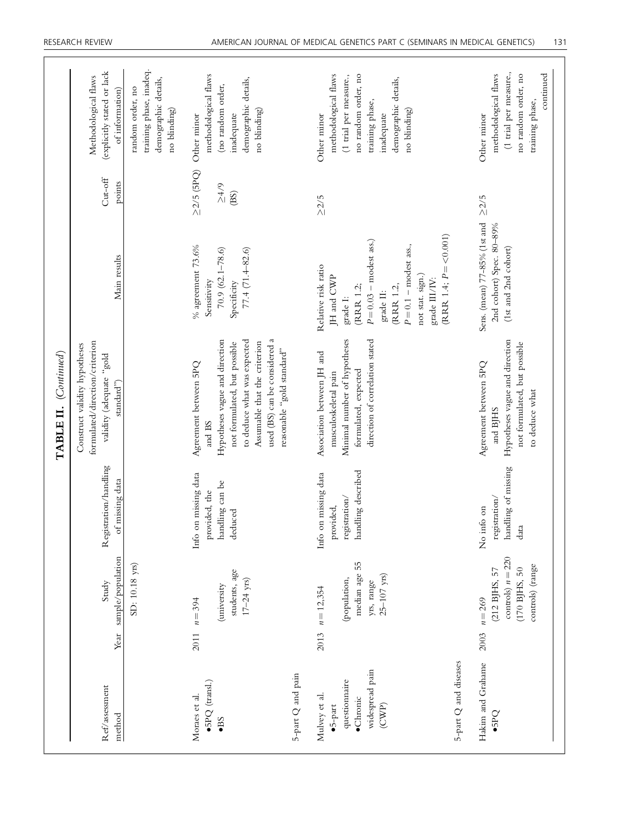|                                                                                                                        |      |                                                                                        |                                                                          | TABLE II. (Continued)                                                                                                                                                                                                           |                                                                                                                                                                                                             |                                           |                                                                                                                                                               |
|------------------------------------------------------------------------------------------------------------------------|------|----------------------------------------------------------------------------------------|--------------------------------------------------------------------------|---------------------------------------------------------------------------------------------------------------------------------------------------------------------------------------------------------------------------------|-------------------------------------------------------------------------------------------------------------------------------------------------------------------------------------------------------------|-------------------------------------------|---------------------------------------------------------------------------------------------------------------------------------------------------------------|
| $\mathrm{Re}f/\mathrm{ass}$ essment<br>method                                                                          |      | Year sample/population<br>Study                                                        | Registration/handling<br>missing data<br>F                               | formulated/direction/criterion<br>Construct validity hypotheses<br>validity (adequate "gold<br>standard")                                                                                                                       | Main results                                                                                                                                                                                                | $Cut-off$<br>points                       | (explicitly stated or lack<br>Methodological flaws<br>of information)                                                                                         |
|                                                                                                                        |      | SD: 10.18 yrs)                                                                         |                                                                          |                                                                                                                                                                                                                                 |                                                                                                                                                                                                             |                                           | training phase, inadeq.<br>demographic details,<br>random order, no<br>no blinding)                                                                           |
| $\bullet$ 5PQ (transl.)<br>Moraes et al.<br>$-BS$                                                                      | 2011 | students, age<br>$17 - 24$ yrs)<br>(university)<br>$n = 394$                           | Info on missing data<br>handling can be<br>provided, the<br>deduced      | used (BS) can be considered a<br>Hypotheses vague and direction<br>to deduce what was expected<br>Assumable that the criterion<br>not formulated, but possible<br>reasonable "gold standard"<br>Agreement between 5PQ<br>and BS | $%$ agreement 73.6%<br>$77.4(71.4 - 82.6)$<br>$70.9(62.1 - 78.6)$<br>Sensitivity<br>Specificity                                                                                                             | $\geq$ 2/5 (5PQ)<br>$_{\geq 4/9}$<br>(BS) | methodological flaws<br>demographic details,<br>(no random order,<br>no blinding)<br>inadequate<br>Other minor                                                |
| 5-part Q and pain                                                                                                      |      |                                                                                        |                                                                          |                                                                                                                                                                                                                                 |                                                                                                                                                                                                             |                                           |                                                                                                                                                               |
| 5-part Q and diseases<br>widespread pain<br>questionnaire<br>Mulvey et al.<br>$\bullet$ Chronic<br>(CWP)<br>$-5$ -part | 2013 | median age 55<br>$25 - 107$ yrs)<br>(population,<br>yrs, range<br>$n = 12,354$         | handling described<br>Info on missing data<br>registration/<br>provided, | Minimal number of hypotheses<br>direction of correlation stated<br>Association between JH and<br>formulated, expected<br>musculoskeletal pain                                                                                   | $(RRR 1.4; P = <0.001)$<br>$P = 0.03$ – modest ass.)<br>$P=0.1$ – modest ass.,<br>Relative risk ratio<br>JH and CWP<br>not stat. sign.)<br>grade III/IV:<br>(RRR 1.2,<br>(RRR 1.2;<br>grade II:<br>grade I: | $\geq$ 2/5                                | no random order, no<br>methodological flaws<br>(1 trial per measure.,<br>demographic details,<br>training phase,<br>no blinding)<br>inadequate<br>Other minor |
| Hakim and Grahame<br>$-5PQ$                                                                                            | 2003 | controls) $n = 220$<br>controls) (range<br>(170 BJHS, 50<br>(212 BJHS, 57<br>$n = 269$ | handling of missing<br>registration/<br>No info on<br>data               | Hypotheses vague and direction<br>not formulated, but possible<br>Agreement between 5PQ<br>to deduce what<br>and BJHS                                                                                                           | Sens. (mean) 77-85% (1st and<br>2nd cohort) Spec. 80-89%<br>(1st and 2nd cohort)                                                                                                                            | $\geq$ 2/5                                | (1 trial per measure.,<br>continued<br>no random order, no<br>methodological flaws<br>training phase,<br>Other minor                                          |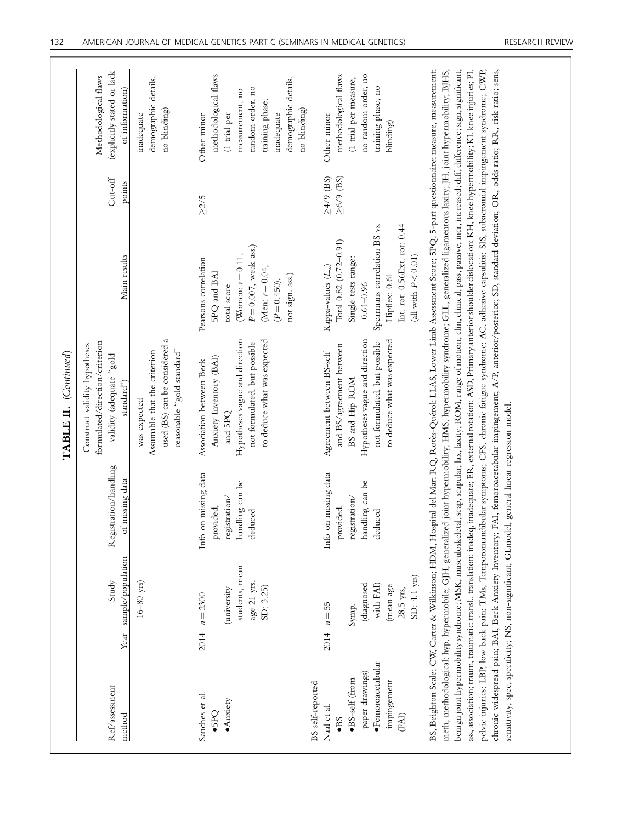|                                                                                                                                                              |      |                                                                                        |                                                                                  | TABLE II. (Continued)                                                                                                                                                                                                                                                                                                                                                                                                                                                                                                                                                                                                                                                                                                                                                                                                                                                                                                                                                                                                                                                                                                               |                                                                                                                                                                                                   |                                    |                                                                                                                                                                     |
|--------------------------------------------------------------------------------------------------------------------------------------------------------------|------|----------------------------------------------------------------------------------------|----------------------------------------------------------------------------------|-------------------------------------------------------------------------------------------------------------------------------------------------------------------------------------------------------------------------------------------------------------------------------------------------------------------------------------------------------------------------------------------------------------------------------------------------------------------------------------------------------------------------------------------------------------------------------------------------------------------------------------------------------------------------------------------------------------------------------------------------------------------------------------------------------------------------------------------------------------------------------------------------------------------------------------------------------------------------------------------------------------------------------------------------------------------------------------------------------------------------------------|---------------------------------------------------------------------------------------------------------------------------------------------------------------------------------------------------|------------------------------------|---------------------------------------------------------------------------------------------------------------------------------------------------------------------|
| Ref/assessment<br>method                                                                                                                                     |      | Year sample/population<br>Study                                                        | Registration/handling<br>of missing data                                         | formulated/direction/criterion<br>Construct validity hypotheses<br>blog" saupsba) yiibilav<br>standard")                                                                                                                                                                                                                                                                                                                                                                                                                                                                                                                                                                                                                                                                                                                                                                                                                                                                                                                                                                                                                            | Main results                                                                                                                                                                                      | $Cut-off$<br>points                | (explicitly stated or lack<br>Methodological flaws<br>of information)                                                                                               |
|                                                                                                                                                              |      | $16 - 80$ yrs)                                                                         |                                                                                  | used (BS) can be considered a<br>reasonable "gold standard"<br>Assumable that the criterion<br>was expected                                                                                                                                                                                                                                                                                                                                                                                                                                                                                                                                                                                                                                                                                                                                                                                                                                                                                                                                                                                                                         |                                                                                                                                                                                                   |                                    | demographic details,<br>no blinding)<br>inadequate                                                                                                                  |
| Sanches et al.<br>Anxity<br>$-5PQ$                                                                                                                           |      | students, mean<br>age 21 yrs,<br>SD: 3.25)<br>(university<br>$2014$ $n = 2300$         | Info on missing data<br>handling can be<br>registration/<br>provided,<br>deduced | Hypotheses vague and direction<br>to deduce what was expected<br>not formulated, but possible<br>Anxiety Inventory (BAI)<br>Association between Beck<br>and 5PQ                                                                                                                                                                                                                                                                                                                                                                                                                                                                                                                                                                                                                                                                                                                                                                                                                                                                                                                                                                     | $P = 0.007$ , weak ass.)<br>(Women: $r = 0.11$ ,<br>Pearsons correlation<br>(Men: $r = 0.04$ ,<br>5PQ and BAI<br>not sign. ass.)<br>$(P = 0.450),$<br>total score                                 | $\geq$ 2/5                         | methodological flaws<br>demographic details,<br>random order, no<br>measurement, no<br>training phase,<br>no blinding)<br>(1 trial per<br>inadequate<br>Other minor |
| ·Femoroacetabular<br>paper drawings)<br>$\bullet{\rm BS}\mbox{-}{\rm self}$ (from<br>impingement<br>BS self-reported<br>Naal et al.<br>(FAI)<br>$\bullet$ BS | 2014 | SD: 4.1 yrs)<br>diagnosed)<br>with FAI)<br>(mean age<br>28.5 yrs,<br>$n = 55$<br>Symp. | Info on missing data<br>handling can be<br>registration/<br>provided,<br>deduced | Hypotheses vague and direction<br>to deduce what was expected<br>not formulated, but possible<br>and BS/agreement between<br>Agreement between BS-self<br>BS and Hip ROM                                                                                                                                                                                                                                                                                                                                                                                                                                                                                                                                                                                                                                                                                                                                                                                                                                                                                                                                                            | Int. rot: 0.56Ext. rot: 0.44<br>Spearmans correlation BS vs.<br>Total 0.82 (0.72-0.91)<br>(all with $P < 0.01$ )<br>Single tests range:<br>Kappa-values $(L_w)$<br>Hipflex: 0.61<br>$0.61 - 0.96$ | $\geq$ 4/9 (BS)<br>$\geq$ 6/9 (BS) | methodological flaws<br>no random order, no<br>(1 trial per measure,<br>training phase, no<br>Other minor<br>blinding)                                              |
|                                                                                                                                                              |      |                                                                                        |                                                                                  | benign joint hypermobility syndrome; MSK, musculoskeletal; scap, scapular; lax, laxity; ROM, range of motion; clin, clinical; pass, passive; incr, increased; diff, difference; sign, significant;<br>ass, association; traum, traumatic; transl,, translation; inadeq, inadequate; ER, external rotation; ASD, Primary anterior shoulder dislocation; KH, knee hypermobility; KI, knee injuries; PI,<br>pelvic injuries; LBP, low back pain; TMs, Temporomandibular symptoms; CFS, chronic fatigue syndrome; AC, adhesive capsulitis; SIS, subacromial impingement syndrome; CWP,<br>chronic widespread pain; BAI, Beck Anxiety Inventory; FAI, femoroacetabular impingement; A/P, anterior/posterior; SD, standard deviation; OR, odds ratio; RR, risk ratio; sens,<br>BS, Beighton Scale; CW, Carter & Wilkinson; HDM, Hospital del Mar; RQ, Rotès-Quérol; LLAS, Lower Limb Assessment Score; 5PQ, 5-part questionnaire; measure, measurement;<br>meth, methodological; hyp, hypermobile; GJH, generalized joint hypermobility; HMS, hypermobility syndrome; GLL, generalized ligamentous laxity; JH, joint hypermobility; BJHS, |                                                                                                                                                                                                   |                                    |                                                                                                                                                                     |

sensitivity; spec, specificity; NS, non-significant; GLmodel, general linear regression model.

sensitivity; spec, specificity; NS, non-significant; GLmodel, general linear regression model.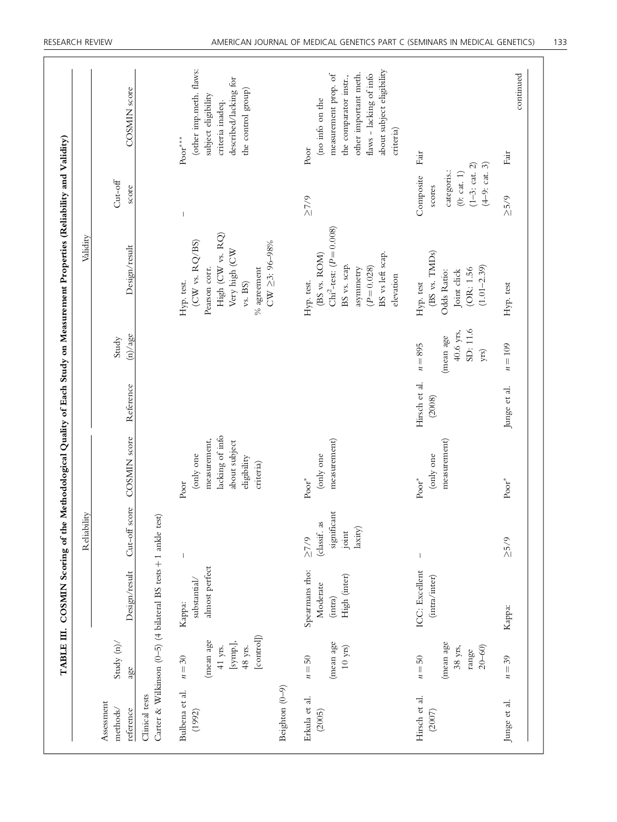|                                     |                                                                    |                                                                | ШË<br>Reliabil                                                |                                                                                                   |                         |                                                           | Validity                                                                                                                                                        |                                                                                       |                                                                                                                                                                         |
|-------------------------------------|--------------------------------------------------------------------|----------------------------------------------------------------|---------------------------------------------------------------|---------------------------------------------------------------------------------------------------|-------------------------|-----------------------------------------------------------|-----------------------------------------------------------------------------------------------------------------------------------------------------------------|---------------------------------------------------------------------------------------|-------------------------------------------------------------------------------------------------------------------------------------------------------------------------|
| Assessment<br>methods/<br>reference | Study $(n)$<br>age                                                 | Design/result                                                  |                                                               | Cut-off score COSMIN score                                                                        | Reference               | (n)/age<br>Study                                          | Design/result                                                                                                                                                   | $Cut-off$<br>score                                                                    | COSMIN score                                                                                                                                                            |
| Clinical tests                      |                                                                    | Carter & Wilkinson (0-5) (4 bilateral BS tests + 1 ankle test) |                                                               |                                                                                                   |                         |                                                           |                                                                                                                                                                 |                                                                                       |                                                                                                                                                                         |
| Bulbena et al.<br>(1992)            | [control]<br>(mean age<br>[symp.],<br>41 yrs.<br>48 yrs.<br>$n=30$ | almost perfect<br>substantial/<br>Kappa:                       |                                                               | lacking of info<br>measurement,<br>about subject<br>(only one<br>eligibility<br>criteria)<br>Poor |                         |                                                           | High (CW vs. $\mathrm{RQ})$<br>$(CW \text{ vs. } RQ/BS)$<br>$CW \geq 3: 96 - 98\%$<br>Very high (CW<br>Pearson corr.<br>$\%$ agreement<br>Hyp. test.<br>vs. BS) | $\overline{\phantom{a}}$                                                              | (other imp.meth. flaws:<br>described/lacking for<br>the control group)<br>subject eligibility<br>criteria inadeq.<br>$\mathbf{Poor}^{***}$                              |
| Beighton $(0-9)$                    |                                                                    |                                                                |                                                               |                                                                                                   |                         |                                                           |                                                                                                                                                                 |                                                                                       |                                                                                                                                                                         |
| Erkula et al.<br>(2005)             | (mean age<br>$10~{\rm yrs})$<br>$n=50$                             | Spearmans rho:<br>High (inter)<br>Moderate<br>(intra)          | significant<br>(classif. as<br>laxity)<br>joint<br>$\geq$ 7/9 | measurement)<br>(only one<br>$\mathbf{Poor}^*$                                                    |                         |                                                           | Chi <sup>2</sup> -test: $(P = 0.008)$<br>BS vs left scap.<br>(BS vs. ROM)<br>BS vs. scap.<br>$(P = 0.028)$<br>asymmetry<br>elevation<br>Hyp. test.              | $\geq$ 7/9                                                                            | about subject eligibility<br>other important meth.<br>measurement prop. of<br>flaws - lacking of info<br>the comparator instr.,<br>(no info on the<br>criteria)<br>Poor |
| Hirsch et al.<br>(2007)             | (mean age<br>38 yrs,<br>$20 - 60$<br>range<br>$n = 50$             | ICC: Excellent<br>(intra/inter)                                | $\mathsf I$                                                   | measurement)<br>(only one<br>$\mathbf{Poor}^*$                                                    | Hirsch et al.<br>(2008) | SD: 11.6<br>$40.6$ yrs,<br>(mean age<br>$n = 895$<br>yrs) | (BS vs. TMDs)<br>$(1.01 - 2.39)$<br>(OR: 1.56<br>Odds Ratio:<br>Joint click<br>Hyp. test                                                                        | $(4-9:cat. 3)$<br>$(1-3;$ cat. 2)<br>categoris.:<br>(0:cat. 1)<br>Composite<br>scores | Fair                                                                                                                                                                    |
| Junge et al.                        | $n=39$                                                             | Kappa:                                                         | $5/9$                                                         | $\mathop{\mathrm{Poor}}\nolimits^*$                                                               | Junge et al.            | $n = 109$                                                 | Hyp. test                                                                                                                                                       | 25/9                                                                                  | continued<br>Fair                                                                                                                                                       |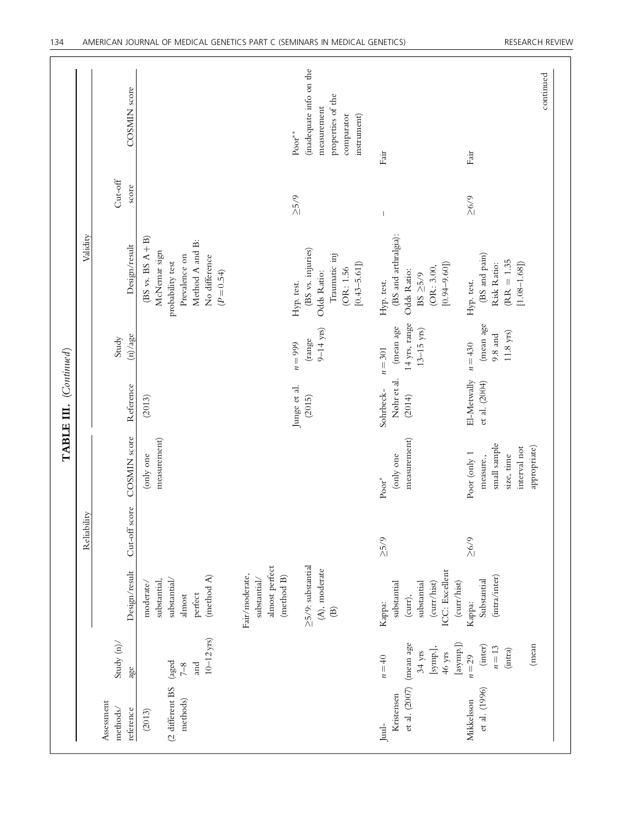|                        |             | COSMIN score                        |                                                                                                                              | (inadequate info on the<br>properties of the<br>measurement<br>comparator<br>instrument)<br>$\mathbf{Poor}^{**}$                     | Fair                                                                                                 | continued<br>Fair                                                                       |
|------------------------|-------------|-------------------------------------|------------------------------------------------------------------------------------------------------------------------------|--------------------------------------------------------------------------------------------------------------------------------------|------------------------------------------------------------------------------------------------------|-----------------------------------------------------------------------------------------|
|                        |             | Cut-off<br>score                    |                                                                                                                              | $\geq 5/9$                                                                                                                           |                                                                                                      | $5/9$                                                                                   |
|                        | Validity    | Design/result                       | $(BS vs. BS A + B)$<br>Method A and B:<br>McNemar sign<br>Prevalence on<br>No difference<br>probability test<br>$(P = 0.54)$ | (BS vs. injuries)<br>Traumatic inj<br>$[0.43 - 5.61]$<br>(OR: 1.56)<br>Odds Ratio:<br>Hyp. test.                                     | (BS and arthralgia):<br>$[0.94 - 9.60]$<br>(OR: 3.00,<br>Odds Ratio:<br>BS ${\geq}5/9$<br>Hyp. test. | (BS and pain)<br>$(RR = 1.35)$<br>Risk Ratio:<br>$[1.08 - 1.68]$<br>Hyp. test.          |
|                        |             | (n)/age<br>Study                    |                                                                                                                              | $9 - 14$ yrs)<br>(range<br>$n = 999$                                                                                                 | 14 yrs, range<br>(mean age<br>$(13 - 15 \text{ yrs})$<br>$n = 301$                                   | (mean age<br>$11.8~{\rm yrs})$<br>$9.8$ and<br>$n = 430$                                |
| TABLE III. (Continued) | Reliability | Reference                           | (2013)                                                                                                                       | Junge et al.<br>(2015)                                                                                                               | Nøhr et al.<br>Sohrbeck-<br>(2014)                                                                   | El-Metwally<br>et al. (2004)                                                            |
|                        |             | <b>COSMIN</b> score                 | measurement)<br>(only one                                                                                                    |                                                                                                                                      | measurement)<br>(only one<br>$\mathbf{Poor}^*$                                                       | small sample<br>appropriate)<br>interval not<br>Poor (only 1<br>size, time<br>measure., |
|                        |             | Cut-off score                       |                                                                                                                              |                                                                                                                                      | $\geq 5/9$                                                                                           | $\geq 6/9$                                                                              |
|                        |             | Design/result                       | (method $A$ )<br>substantial/<br>substantial,<br>moderate/<br>perfect<br>almost                                              | almost perfect<br>$\geq$ 5/9: substantial<br>(A), moderate<br>Fair/moderate,<br>(method B)<br>substantial/<br>$\widehat{\mathbf{B}}$ | ICC: Excellent<br>(curr/hist)<br>(curr/hist)<br>substantial<br>substantial<br>$(curr)$ ,<br>Kappa:   | (intra/inter)<br>Substantial<br>Kappa:                                                  |
|                        |             | Study $(n)$<br>age                  | $10-12$ yrs)<br>(aged<br>and<br>$7-8$                                                                                        |                                                                                                                                      | $[$ asymp.] $\hspace{-.03in})$<br>(mean age<br>[symp.],<br>$34$ yrs<br>$46$ yrs<br>$n = 40$          | (mean<br>$\left( \text{inter} \right)$<br>$n=13$<br>(intra)<br>$n=29$                   |
|                        |             | Assessment<br>methods/<br>reference | (2 different BS<br>methods)<br>(2013)                                                                                        |                                                                                                                                      | et al. (2007)<br>Kristensen<br>$_{\rm Jual-}$                                                        | et al. (1996)<br>Mikkelsson                                                             |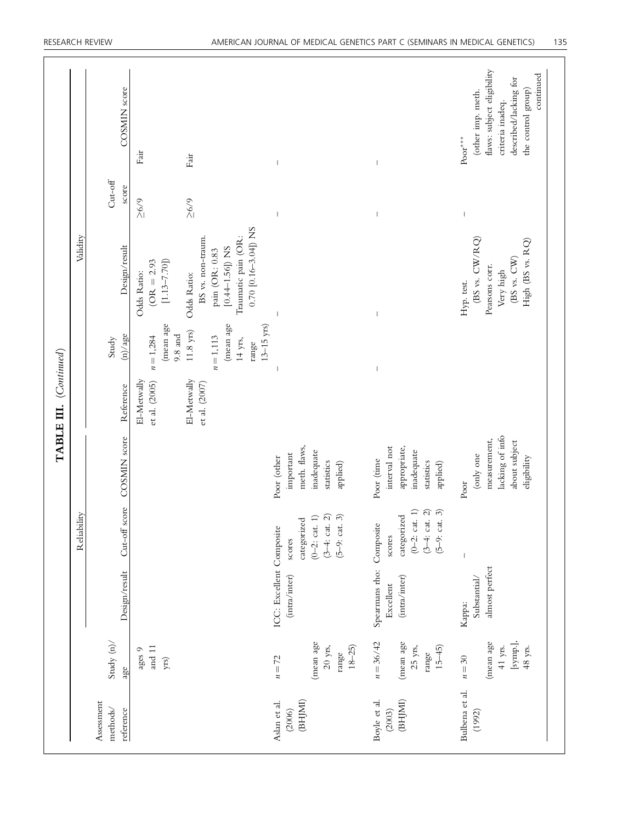|                        |             | COSMIN score                        | Fair<br>Fair                                                                                                                                                                       |                                                                                                                                 |                                                                                    | flaws: subject eligibility<br>continued<br>described/lacking for<br>the control group)<br>(other imp. meth.<br>criteria inadeq.<br>$\mathbf{Poor}^{***}$ |
|------------------------|-------------|-------------------------------------|------------------------------------------------------------------------------------------------------------------------------------------------------------------------------------|---------------------------------------------------------------------------------------------------------------------------------|------------------------------------------------------------------------------------|----------------------------------------------------------------------------------------------------------------------------------------------------------|
|                        |             | $Cut-off$<br>score                  | $\geq 6/9$<br>$5/9$                                                                                                                                                                |                                                                                                                                 |                                                                                    |                                                                                                                                                          |
|                        | Validity    | Design/result                       | 0.70 $[0.16 - 3.04]$ ) NS<br>BS vs. non-traum.<br>Traumatic pain (OR:<br>[ $0.44 - 1.56$ ]) NS<br>pain (OR: 0.83<br>$[1.13 - 7.70]$<br>$(OR = 2.93)$<br>Odds Ratio:<br>Odds Ratio: |                                                                                                                                 |                                                                                    | $(BS \text{ vs. } \text{CW/RQ})$<br>High (BS vs. RQ)<br>$(BS \text{ vs. } CW)$<br>Pearsons corr.<br>Very high<br>Hyp. test.                              |
|                        |             | (n)/age<br>Study                    | (mean age<br>(mean age<br>$13 - 15$ yrs)<br>$11.8~{\rm yrs})$<br>$9.8$ and<br>$n = 1,284$<br>$n = 1,113$<br>14 yrs,<br>range                                                       |                                                                                                                                 |                                                                                    |                                                                                                                                                          |
| TABLE III. (Continued) |             | Reference                           | El-Metwally<br>El-Metwally<br>et al. (2005)<br>et al. (2007)                                                                                                                       |                                                                                                                                 |                                                                                    |                                                                                                                                                          |
|                        |             | COSMIN score                        |                                                                                                                                                                                    | meth. flaws,<br>inadequate<br>important<br>Poor (other<br>statistics<br>applied)                                                | interval not<br>appropriate,<br>inadequate<br>Poor (time<br>statistics<br>applied) | lacking of info<br>measurement,<br>about subject<br>(only one<br>eligibility<br>Poor                                                                     |
|                        | Reliability | Cut-off score                       |                                                                                                                                                                                    | $\widehat{=} \widehat{\Omega} \widehat{\omega}$<br>categorized<br>$(0-2; \text{ cat.})$<br>$(3-4:cat.$<br>$(5-9:cat.$<br>scores | $(0-2;$ cat. 1)<br>$(3-4: cat. 2)$<br>$(5-9: cat. 3)$<br>categorized<br>scores     | $\begin{array}{c} \end{array}$                                                                                                                           |
|                        |             | Design/result                       |                                                                                                                                                                                    | ICC: Excellent Composite<br>(intra/inter)                                                                                       | Spearmans rho: Composite<br>(intra/inter)<br>Excellent                             | almost perfect<br>Substantial/<br>Kappa:                                                                                                                 |
|                        |             | Study $(n)$<br>age                  | and $11\,$<br>ages 9<br>yrs)                                                                                                                                                       | (mean age<br>$20$ yrs,<br>$18 - 25$<br>range<br>$n=72$                                                                          | $n = 36/42$<br>(mean age<br>25 yrs,<br>$15 - 45$ )<br>range                        | [symp.],<br>(mean age<br>$41$ yrs.<br>48 yrs.<br>$n=30$                                                                                                  |
|                        |             | Assessment<br>methods/<br>reference |                                                                                                                                                                                    | (BHJMI)<br>Aslan et al.<br>(2006)                                                                                               | Boyle et al.<br>(BHJMI)<br>(2003)                                                  | Bulbena et al.<br>(1992)                                                                                                                                 |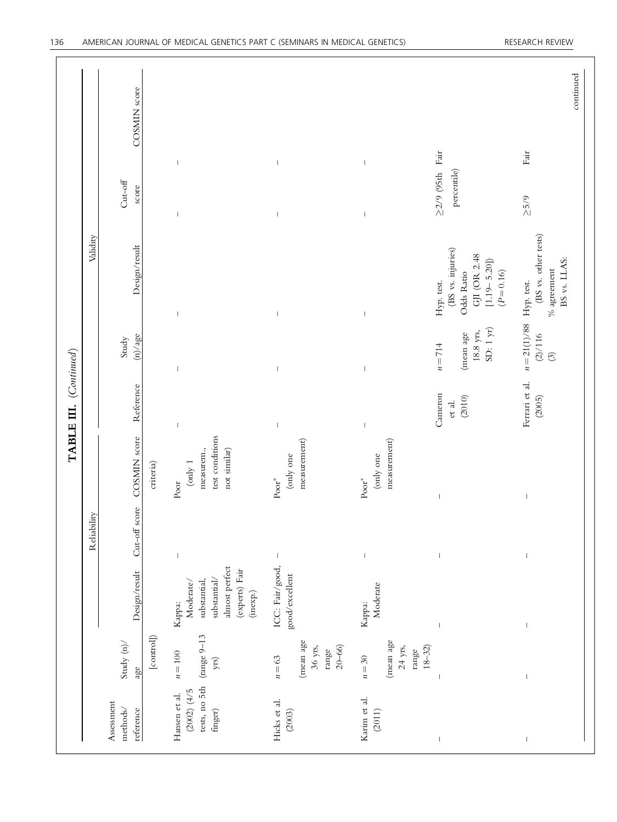|                                                                   |                                                         |                                                                                                     |                          |                                                                           | TABLE III. (Continued)      |                                                                        |                                                                                                  |                                                      |              |
|-------------------------------------------------------------------|---------------------------------------------------------|-----------------------------------------------------------------------------------------------------|--------------------------|---------------------------------------------------------------------------|-----------------------------|------------------------------------------------------------------------|--------------------------------------------------------------------------------------------------|------------------------------------------------------|--------------|
|                                                                   |                                                         |                                                                                                     | Reliability              |                                                                           |                             |                                                                        | Validity                                                                                         |                                                      |              |
| Assessment<br>methods/<br>reference                               | Study $(n)$<br>age                                      | Design/result                                                                                       | $\mbox{Cut-off score}$   | COSMIN score                                                              | Reference                   | (n)/age<br>Study                                                       | Design/result                                                                                    | $Cut-off$<br>score                                   | COSMIN score |
|                                                                   | $[{\rm control}]$                                       |                                                                                                     |                          | criteria)                                                                 |                             |                                                                        |                                                                                                  |                                                      |              |
| tests, no 5th<br>(2002) (4/5)<br>Hansen et al.<br>${\rm finger})$ | ${\rm (range\ 9\text{--}13}$<br>$n=100$<br>${\rm yrs})$ | almost perfect<br>(experts) Fair<br>substantial/<br>substantial,<br>Moderate/<br>(inexp.)<br>Kappa: | $\, \vert \,$            | test conditions<br>measurem.,<br>not similar)<br>$\mbox{(only 1}$<br>Poor | $\,$ $\,$                   | $\overline{\phantom{a}}$                                               | $\begin{array}{c} \hline \end{array}$                                                            | $\overline{\phantom{a}}$<br>$\overline{\phantom{a}}$ |              |
| Hicks et al.<br>(2003)                                            | (mean age<br>$36$ yrs,<br>$20 - 66$<br>range<br>$n=63$  | ICC: Fair/good,<br>good/excellent                                                                   | $\mid$                   | measurement)<br>(only one<br>$\mathbf{Poor}^*$                            | $\vert$                     | $\overline{\phantom{a}}$                                               | $\vert$                                                                                          | $\vert$<br>$\mathsf I$                               |              |
| Karim et al.<br>(2011)                                            | (mean age<br>$24$ yrs,<br>$18 - 32$<br>range<br>$n=30$  | Moderate<br>Kappa:                                                                                  | $\, \vert \,$            | measurement)<br>(only one<br>$\mathbf{Poor}^*$                            | $\vert$                     | $\mathsf I$                                                            | $\vert$                                                                                          | $\vert$<br>$\vert$                                   |              |
| $\mid$                                                            |                                                         | $\vert$                                                                                             | $\overline{\phantom{a}}$ | $\mathsf I$                                                               | Cameron<br>(2010)<br>et al. | $\mathrm{SD:}$ 1 yr)<br>$18.8~\mathrm{yrs},$<br>(mean age<br>$n = 714$ | (BS vs. injuries)<br>GJI (OR 2.48<br>$[1.19 - 5.20]$<br>$(P = 0.16)$<br>Odds Ratio<br>Hyp. test. | $\geq$ 2/9 (95th Fair<br>percentile)                 |              |
| $\mathsf I$                                                       |                                                         |                                                                                                     |                          | $\mathsf I$                                                               | Ferrari et al.<br>(2005)    | $n = 21(1)/88$ Hyp. test.<br>(2)/116<br>$\odot$                        | (BS vs. other tests)<br>BS vs. LLAS:<br>$\%$ agreement                                           | $\ensuremath{\mathsf{Fair}}$<br>5/9                  | continued    |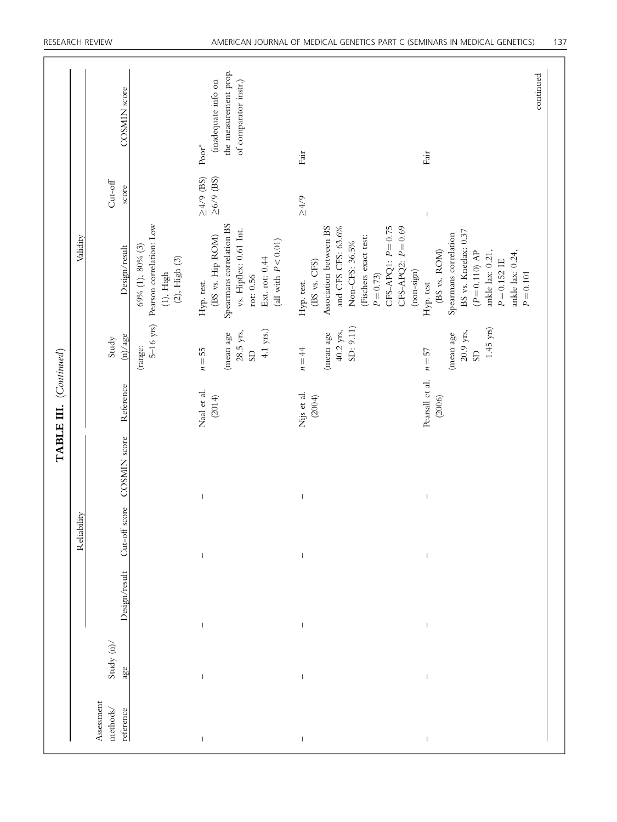|                                     |                    |                                       | Reliability                                                                    |              | TABLE III. (Continued)    |                                                                     | Validity                                                                                                                                                                        |                                   |                                                                                            |
|-------------------------------------|--------------------|---------------------------------------|--------------------------------------------------------------------------------|--------------|---------------------------|---------------------------------------------------------------------|---------------------------------------------------------------------------------------------------------------------------------------------------------------------------------|-----------------------------------|--------------------------------------------------------------------------------------------|
| Assessment<br>methods/<br>reference | Study $(n)$<br>age | Design/result                         | Cut-off score                                                                  | COSMIN score | Reference                 | (n)/age<br>Study                                                    | Design/result                                                                                                                                                                   | $Cut-off$<br>score                | COSMIN score                                                                               |
|                                     |                    |                                       |                                                                                |              |                           | $5-16$ yrs)<br>(range:                                              | Pearson correlation: Low<br>69% (1), 80% (3)<br>$(2)$ , High $(3)$<br>$(1)$ , High                                                                                              |                                   |                                                                                            |
| $\,$ $\,$                           | $\vert$            | $\begin{array}{c} \hline \end{array}$ | $\begin{array}{c} \hline \end{array}$<br>$\begin{array}{c} \hline \end{array}$ |              | Naal et al.<br>(2014)     | $4.1$ yrs.)<br>$28.5$ yrs,<br>(mean age<br>$n=55$<br><b>GIS</b>     | Spearmans correlation BS<br>vs. Hipflex: 0.61 Int.<br>(BS vs. Hip ROM)<br>(all with $P < 0.01$ )<br>Ext. rot: 0.44<br>rot: 0.56<br>Hyp. test.                                   | $\geq4/9$ (BS)<br>$\geq$ 6/9 (BS) | the measurement prop.<br>(inadequate info on<br>of comparator instr.)<br>$\mathbf{Poor}^*$ |
| $\vert$                             | $\vert$            | $\vert$                               | $\,$ $\,$<br>$\,$ $\,$                                                         |              | Nijs et al.<br>(2004)     | SD: 9.11)<br>$40.2$ yrs,<br>(mean age<br>$n = 44$                   | Association between BS<br>$CFS-APQ1: P=0.75$<br>$CFS-APQ2: P=0.69$<br>and CFS CFS: 63.6%<br>(Fischers exact test:<br>Non-CFS: 36.5%<br>(BS vs. CFS)<br>$P = 0.73$<br>Hyp. test. | $5/75$                            | Fair                                                                                       |
| $\,$ $\,$                           | $\,$ $\,$          | $\begin{array}{c} \hline \end{array}$ | $\begin{array}{c} \hline \end{array}$                                          |              | Pearsall et al.<br>(2006) | $1.45~{\rm yrs})$<br>$20.9$ yrs,<br>(mean age<br>$n=57$<br>$\rm SD$ | BS vs. Kneelax: 0.37<br>Spearmans correlation<br>(BS vs. ROM)<br>$(P=0.110)$ AP<br>ankle lax: 0.21,<br>ankle lax: 0.24,<br>$P = 0.152$ IE<br>$(non-sign)$<br>Hyp. test          | $\mathsf I$                       | Fair                                                                                       |
|                                     |                    |                                       |                                                                                |              |                           |                                                                     | $P = 0.101$                                                                                                                                                                     |                                   | continued                                                                                  |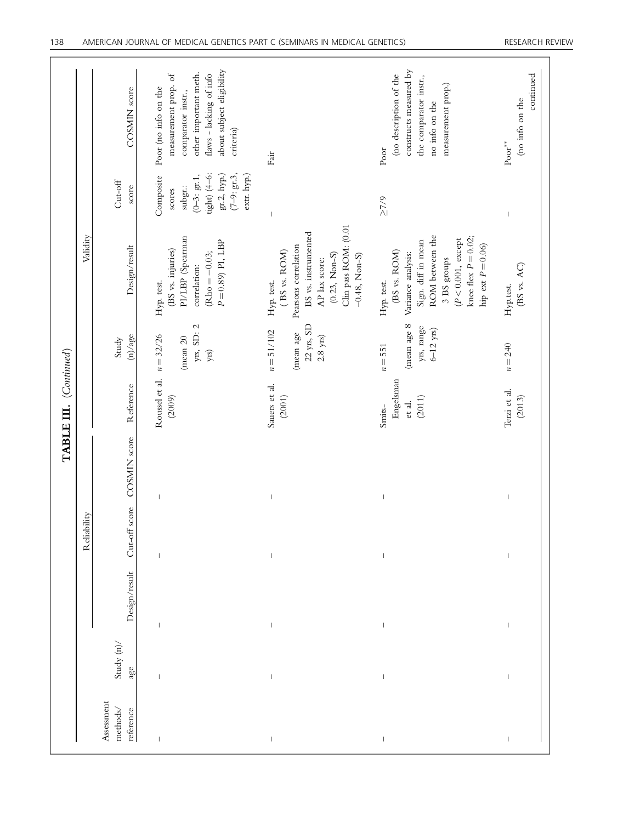|                        |             | COSMIN score                        | about subject eligibility<br>other important meth.<br>measurement prop. of<br>flaws - lacking of info<br>Poor (no info on the<br>comparator instr.,<br>criteria) | Fair                                                                                                                                                                                                                                                                                                                                                                             | constructs measured by<br>(no description of the<br>the comparator instr.,<br>measurement prop.)<br>no info on the<br>Poor                                                            | continued<br>(no info on the<br>$\text{Poor}^{**}$                                                                                                                                                                                                                                                                                                                               |
|------------------------|-------------|-------------------------------------|------------------------------------------------------------------------------------------------------------------------------------------------------------------|----------------------------------------------------------------------------------------------------------------------------------------------------------------------------------------------------------------------------------------------------------------------------------------------------------------------------------------------------------------------------------|---------------------------------------------------------------------------------------------------------------------------------------------------------------------------------------|----------------------------------------------------------------------------------------------------------------------------------------------------------------------------------------------------------------------------------------------------------------------------------------------------------------------------------------------------------------------------------|
|                        |             | Cut-off<br>score                    | $tight(4-6)$ :<br>gr.2, hyp.)<br>$(7-9; \text{gr.3},$<br>extr. hyp.)<br>$(0-3; gr.1$ ,<br>Composite<br>subgr.:<br>scores                                         | $\begin{array}{c} \rule{0pt}{2.5ex} \rule{0pt}{2.5ex} \rule{0pt}{2.5ex} \rule{0pt}{2.5ex} \rule{0pt}{2.5ex} \rule{0pt}{2.5ex} \rule{0pt}{2.5ex} \rule{0pt}{2.5ex} \rule{0pt}{2.5ex} \rule{0pt}{2.5ex} \rule{0pt}{2.5ex} \rule{0pt}{2.5ex} \rule{0pt}{2.5ex} \rule{0pt}{2.5ex} \rule{0pt}{2.5ex} \rule{0pt}{2.5ex} \rule{0pt}{2.5ex} \rule{0pt}{2.5ex} \rule{0pt}{2.5ex} \rule{0$ | $\geq 7/9$                                                                                                                                                                            | $\mid$                                                                                                                                                                                                                                                                                                                                                                           |
|                        | Validity    | Design/result                       | PI/LBP (Spearman<br>$P = 0.89$ PI, LBP<br>(BS vs. injuries)<br>$Rho = -0.03;$<br>correlation:<br>Hyp. test.                                                      | Clin pass ROM: (0.01<br>BS vs. instrumented<br>Pearsons correlation<br>(BS vs. ROM)<br>$(0.23, Non-S)$<br>$-0.48$ , Non-S)<br>AP lax score:<br>Hyp. test.                                                                                                                                                                                                                        | ROM between the<br>knee flex $P = 0.02$ ;<br>$(P\!<\!0.001,$ except<br>Sign. diff in mean<br>hip ext $P\!=\!0.06)$<br>(BS vs. ROM)<br>Variance analysis:<br>3 BS groups<br>Hyp. test. | (BS vs. AC)<br>Hyp.test.                                                                                                                                                                                                                                                                                                                                                         |
|                        |             | (n)/age<br>Study                    | yrs, SD: 2<br>$n = 32/26$<br>(mean 20<br>yrs)                                                                                                                    | $22$ yrs, SD<br>$n = 51/102$<br>(mean age<br>$2.8~{\rm yrs})$                                                                                                                                                                                                                                                                                                                    | (mean age 8<br>yrs, range<br>$6-12$ yrs)<br>$n = 551$                                                                                                                                 | $n = 240$                                                                                                                                                                                                                                                                                                                                                                        |
| TABLE III. (Continued) |             | Reference                           | Roussel et al.<br>(2009)                                                                                                                                         | Sauers et al.<br>(2001)                                                                                                                                                                                                                                                                                                                                                          | Engelsman<br>(2011)<br>et al.<br>Smits-                                                                                                                                               | Terzi et al.<br>(2013)                                                                                                                                                                                                                                                                                                                                                           |
|                        | Reliability | COSMIN score                        | $\overline{\phantom{a}}$                                                                                                                                         | $\mathsf I$                                                                                                                                                                                                                                                                                                                                                                      | $\begin{array}{c} \end{array}$                                                                                                                                                        | I                                                                                                                                                                                                                                                                                                                                                                                |
|                        |             | $Cut$ -off score                    | $\mathord{\text{\rm I}}$                                                                                                                                         | $\begin{array}{c} \rule{0pt}{2.5ex} \rule{0pt}{2.5ex} \rule{0pt}{2.5ex} \rule{0pt}{2.5ex} \rule{0pt}{2.5ex} \rule{0pt}{2.5ex} \rule{0pt}{2.5ex} \rule{0pt}{2.5ex} \rule{0pt}{2.5ex} \rule{0pt}{2.5ex} \rule{0pt}{2.5ex} \rule{0pt}{2.5ex} \rule{0pt}{2.5ex} \rule{0pt}{2.5ex} \rule{0pt}{2.5ex} \rule{0pt}{2.5ex} \rule{0pt}{2.5ex} \rule{0pt}{2.5ex} \rule{0pt}{2.5ex} \rule{0$ |                                                                                                                                                                                       | $\begin{array}{c} \rule{0pt}{2.5ex} \rule{0pt}{2.5ex} \rule{0pt}{2.5ex} \rule{0pt}{2.5ex} \rule{0pt}{2.5ex} \rule{0pt}{2.5ex} \rule{0pt}{2.5ex} \rule{0pt}{2.5ex} \rule{0pt}{2.5ex} \rule{0pt}{2.5ex} \rule{0pt}{2.5ex} \rule{0pt}{2.5ex} \rule{0pt}{2.5ex} \rule{0pt}{2.5ex} \rule{0pt}{2.5ex} \rule{0pt}{2.5ex} \rule{0pt}{2.5ex} \rule{0pt}{2.5ex} \rule{0pt}{2.5ex} \rule{0$ |
|                        |             | Design/result                       | $\overline{\phantom{a}}$                                                                                                                                         | $\begin{array}{c} \rule{0pt}{2.5ex} \rule{0pt}{2.5ex} \rule{0pt}{2.5ex} \rule{0pt}{2.5ex} \rule{0pt}{2.5ex} \rule{0pt}{2.5ex} \rule{0pt}{2.5ex} \rule{0pt}{2.5ex} \rule{0pt}{2.5ex} \rule{0pt}{2.5ex} \rule{0pt}{2.5ex} \rule{0pt}{2.5ex} \rule{0pt}{2.5ex} \rule{0pt}{2.5ex} \rule{0pt}{2.5ex} \rule{0pt}{2.5ex} \rule{0pt}{2.5ex} \rule{0pt}{2.5ex} \rule{0pt}{2.5ex} \rule{0$ |                                                                                                                                                                                       | $\mid$                                                                                                                                                                                                                                                                                                                                                                           |
|                        |             | Study $(n)$<br>age                  | $\mathbf{I}$                                                                                                                                                     | $\mathbf{I}$                                                                                                                                                                                                                                                                                                                                                                     | $\mathsf I$                                                                                                                                                                           | $\begin{array}{c} \rule{0pt}{2.5ex} \rule{0pt}{2.5ex} \rule{0pt}{2.5ex} \rule{0pt}{2.5ex} \rule{0pt}{2.5ex} \rule{0pt}{2.5ex} \rule{0pt}{2.5ex} \rule{0pt}{2.5ex} \rule{0pt}{2.5ex} \rule{0pt}{2.5ex} \rule{0pt}{2.5ex} \rule{0pt}{2.5ex} \rule{0pt}{2.5ex} \rule{0pt}{2.5ex} \rule{0pt}{2.5ex} \rule{0pt}{2.5ex} \rule{0pt}{2.5ex} \rule{0pt}{2.5ex} \rule{0pt}{2.5ex} \rule{0$ |
|                        |             | Assessment<br>methods/<br>reference | $\mathord{\text{\rm I}}$                                                                                                                                         | $\,$ $\,$                                                                                                                                                                                                                                                                                                                                                                        | $\,$ $\,$                                                                                                                                                                             | $\mid$                                                                                                                                                                                                                                                                                                                                                                           |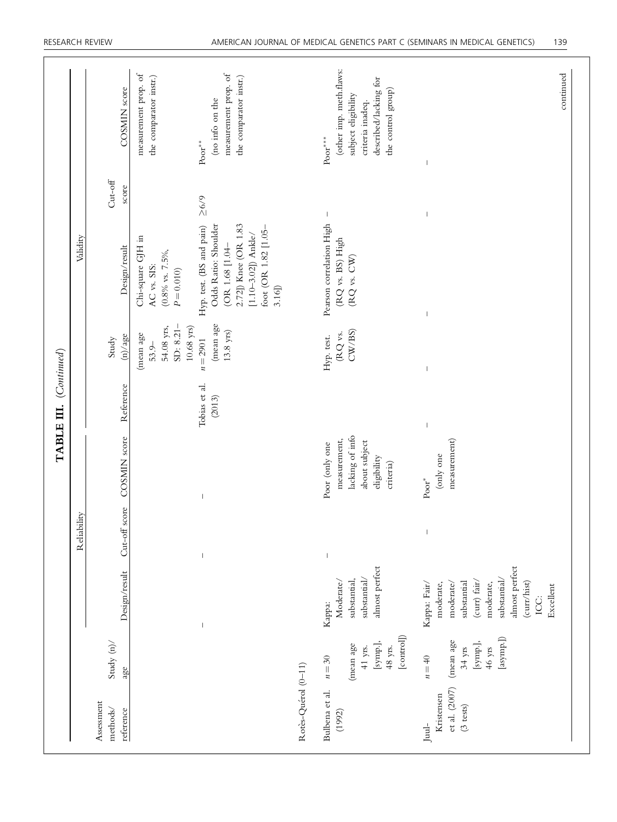|                        |             | COSMIN score                        | measurement prop. of<br>measurement prop. of<br>the comparator instr.)<br>the comparator instr.)<br>(no info on the<br>$\mathbf{Poor}^{**}$                                                                                       |                     | (other imp. meth.flaws:<br>described/lacking for<br>the control group)<br>subject eligibility<br>criteria inadeq.<br>$\mathbf{Poor}^{***}$ | continued                                                                                                                                                |
|------------------------|-------------|-------------------------------------|-----------------------------------------------------------------------------------------------------------------------------------------------------------------------------------------------------------------------------------|---------------------|--------------------------------------------------------------------------------------------------------------------------------------------|----------------------------------------------------------------------------------------------------------------------------------------------------------|
|                        |             | $Cut-off$<br>score                  | 5/9                                                                                                                                                                                                                               |                     | $\mathbf{I}$                                                                                                                               |                                                                                                                                                          |
|                        | Validity    | Design/result                       | Odds Ratio: Shoulder<br>2.72]) Knee (OR 1.83<br>Hyp. test. (BS and pain)<br>foot (OR 1.82 [1.05-<br>[1.10-3.02]) $Ansel$<br>Chi-square GJH in<br>(OR 1.68 [1.04-<br>$(0.8\%$ vs. $7.5\%$ ,<br>AC vs. SIS:<br>$P = 0.010$<br>3.16] |                     | Pearson correlation High<br>(RQ vs. BS) High<br>(RQ vs. CW)                                                                                |                                                                                                                                                          |
|                        |             | (n)/age<br>Study                    | (mean age<br>SD: 8.21-<br>54.08 yrs,<br>$10.68~{\rm yrs})$<br>$13.8$ yrs)<br>(mean age<br>$n = 2901$<br>$53.9-$                                                                                                                   |                     | C <sub>W</sub> /BS<br>$\mathbb{R} Q$ vs.<br>Hyp. test.                                                                                     |                                                                                                                                                          |
| TABLE III. (Continued) |             | Reference                           | Tobias et al.<br>(2013)                                                                                                                                                                                                           |                     |                                                                                                                                            |                                                                                                                                                          |
|                        |             | Cut-off score COSMIN score          | $\overline{\phantom{a}}$                                                                                                                                                                                                          |                     | lacking of info<br>measurement,<br>about subject<br>Poor (only one<br>eligibility<br>criteria)                                             | measurement)<br>(only one<br>$\mathbf{Poor}^*$                                                                                                           |
|                        | Reliability |                                     | $\overline{\phantom{a}}$                                                                                                                                                                                                          |                     | $\begin{array}{c} \end{array}$                                                                                                             |                                                                                                                                                          |
|                        |             | Design/result                       | $\overline{\phantom{a}}$                                                                                                                                                                                                          |                     | almost perfect<br>substantial/<br>substantial,<br>Moderate/<br>Kappa:                                                                      | almost perfect<br>substantial/<br>(curr) fair/<br>(curr/hist)<br>moderate/<br>substantial<br>moderate,<br>Kappa: Fair/<br>moderate,<br>Excellent<br>ICC: |
|                        |             | Study $\langle n \rangle/$<br>age   |                                                                                                                                                                                                                                   |                     | [control]<br>[symp.],<br>(mean age<br>48 yrs.<br>$41$ yrs.<br>$n=30$                                                                       | [asymp.])<br>(mean age<br>[symp.],<br>$46 \text{ yrs}$<br>$34$ yrs<br>$n = 40$                                                                           |
|                        |             | Assessment<br>methods/<br>reference |                                                                                                                                                                                                                                   | Rotès-Quérol (0-11) | Bulbena et al.<br>(1992)                                                                                                                   | et al. (2007)<br>Kristensen<br>$(3 \text{ tests})$<br>$_{\rm Jud\text{-}}$                                                                               |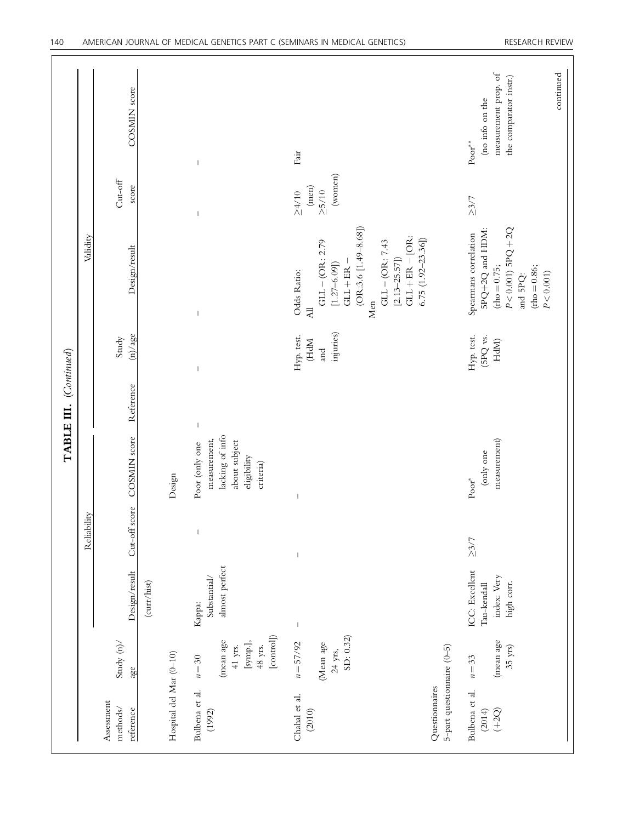|                                                                         |                                                                                   |                                                            |                                       |                                                                                                | TABLE III. (Continued) |                                        |                                                                                                                                                                                                                                          |                                                 |                                                                                                        |
|-------------------------------------------------------------------------|-----------------------------------------------------------------------------------|------------------------------------------------------------|---------------------------------------|------------------------------------------------------------------------------------------------|------------------------|----------------------------------------|------------------------------------------------------------------------------------------------------------------------------------------------------------------------------------------------------------------------------------------|-------------------------------------------------|--------------------------------------------------------------------------------------------------------|
|                                                                         |                                                                                   |                                                            | Reliability                           |                                                                                                |                        |                                        | Validity                                                                                                                                                                                                                                 |                                                 |                                                                                                        |
| Assessment<br>methods/<br>reference                                     | Study $(n)$<br>age                                                                | Design/result                                              |                                       | Cut-off score COSMIN score                                                                     | Reference              | (n)/age<br>Study                       | Design/result                                                                                                                                                                                                                            | $Cut-off$<br>score                              | COSMIN score                                                                                           |
|                                                                         |                                                                                   | (curr/hist)                                                |                                       |                                                                                                |                        |                                        |                                                                                                                                                                                                                                          |                                                 |                                                                                                        |
| Hospital del Mar (0-10)                                                 |                                                                                   |                                                            |                                       | Design                                                                                         |                        |                                        |                                                                                                                                                                                                                                          |                                                 |                                                                                                        |
| Bulbena et al.<br>(1992)                                                | [control]<br>(mean age<br>$[\mathrm{symp.}],$<br>$48$ yrs.<br>$41$ yrs.<br>$n=30$ | almost perfect<br>Substantial/<br>Kappa:                   | $\mathsf I$                           | lacking of info<br>measurement,<br>about subject<br>Poor (only one<br>eligibility<br>criteria) | $\vert$                | $\overline{\phantom{a}}$               | $\mathsf I$                                                                                                                                                                                                                              | $\overline{1}$                                  | $\mathsf I$                                                                                            |
| 5-part questionnaire (0-5)<br>Questionnaires<br>Chahal et al.<br>(2010) | SD: 0.32)<br>$n = 57/92$<br>(Mean age<br>$24$ yrs,                                | $\mathsf I$                                                | $\begin{array}{c} \hline \end{array}$ | $\overline{\phantom{a}}$                                                                       |                        | injuries)<br>Hyp. test.<br>(HdM<br>and | $(OR:3.6 [1.49 - 8.68])$<br>$GLI + ER - [OR:$<br>$6.75(1.92-23.36])$<br>$GLI - (OR: 7.43$<br>$\mathrm{GL}-\left(\mathrm{OR}\right.$ : 2.79<br>$[2.13 - 25.57]$<br>$GL + ER -$<br>$[1.27 - 6.09]$<br>Odds Ratio:<br>Men<br>$\overline{A}$ | (wonnen)<br>(men)<br>$\geq$ 5/10<br>$\geq 4/10$ | Fair                                                                                                   |
| Bulbena et al.<br>(2014)<br>$(+2Q)$                                     | (mean age<br>$35 \text{ yrs}$<br>$n=33$                                           | ICC: Excellent<br>index: Very<br>high corr.<br>Tau-kendall | $\geq 3/7$                            | measurement)<br>(only one<br>$\mathbf{Poor}^*$                                                 |                        | Hyp. test.<br>(5PQ vs.<br>HdM          | $P < 0.001$ ) $SPQ + 2Q$<br>5PQ+2Q and HDM:<br>Spearmans correlation<br>${\rm (rho=0.75)}$<br>$(h \circ h = 0.86;$<br>$P < 0.001$ )<br>and 5PQ:                                                                                          | $\geq 3/7$                                      | measurement prop. of<br>continued<br>the comparator instr.)<br>(no info on the<br>$\mathbf{Poor}^{**}$ |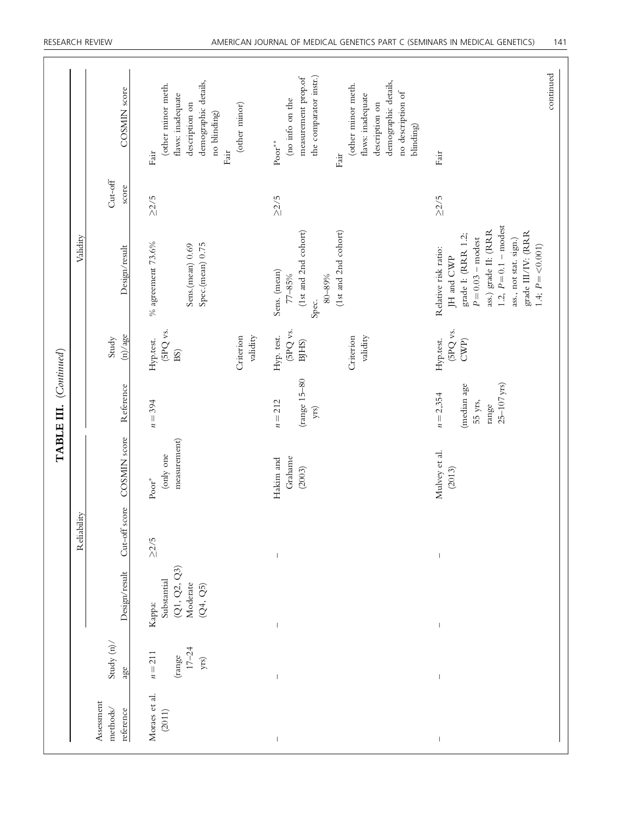|                        |             | COSMIN score                                | demographic details,<br>(other minor meth.<br>flaws: inadequate<br>(other minor)<br>description on<br>no blinding)<br>Fair<br>$\mathrm{Fair}$ | the comparator instr.)<br>measurement prop.of<br>demographic details,<br>(other minor meth.<br>no description of<br>flaws: inadequate<br>(no info on the<br>description on<br>blinding)<br>$\mathbf{Poor}^{**}$<br>Fair | continued<br>Fair                                                                                                                                                                                                      |
|------------------------|-------------|---------------------------------------------|-----------------------------------------------------------------------------------------------------------------------------------------------|-------------------------------------------------------------------------------------------------------------------------------------------------------------------------------------------------------------------------|------------------------------------------------------------------------------------------------------------------------------------------------------------------------------------------------------------------------|
|                        |             | $\mathrm{Cut}\text{-}\mathrm{off}$<br>score | $\geq$ 2/5                                                                                                                                    | $\geq$ 2/5                                                                                                                                                                                                              | $\geq$ 2/5                                                                                                                                                                                                             |
|                        | Validity    | Design/result                               | $\%$ agreement 73.6%<br>Spec.(mean) 0.75<br>Sens.(mean) 0.69                                                                                  | (1st and 2nd cohort)<br>(1st and 2nd cohort)<br>Sens. (mean)<br>80-89%<br>$77 - 85%$<br>Spec.                                                                                                                           | 1.2, $P = 0.1 -$ modest<br>ass.) grade II: (RRR<br>grade III/IV: (RRR<br>grade I: (RRR 1.2;<br>$P = 0.03$ – modest<br>ass., not stat. sign.)<br>1.4; $P = \langle 0.001 \rangle$<br>Relative risk ratio:<br>JH and CWP |
|                        |             | (n)/age<br>Study                            | (5PQ vs.<br>Criterion<br>validity<br>Hyp.test.<br>BS)                                                                                         | (5PQ vs.<br>Hyp. test.<br>Criterion<br>validity<br>BJHS)                                                                                                                                                                | (5PQ vs.<br>Hyp.test.<br>$\mathrm{CWP}\rangle$                                                                                                                                                                         |
| TABLE III. (Continued) |             | Reference                                   | $n = 394$                                                                                                                                     | (range 15-80<br>$n = 212$<br>yrs)                                                                                                                                                                                       | $25 - 107$ yrs)<br>(median age<br>$n = 2,354$<br>55 yrs,<br>range                                                                                                                                                      |
|                        |             | COSMIN score                                | measurement)<br>(only one<br>$\text{Poor}^*$                                                                                                  | Grahame<br>Hakim and<br>(2003)                                                                                                                                                                                          | Mulvey et al.<br>(2013)                                                                                                                                                                                                |
|                        | Reliability | Cut-off score                               | $\geq2/5$                                                                                                                                     |                                                                                                                                                                                                                         |                                                                                                                                                                                                                        |
|                        |             | Design/result                               | (Q1, Q2, Q3)<br>Substantial<br>Moderate<br>(Q4, Q5)<br>Kappa:                                                                                 | $\begin{array}{c} \end{array}$                                                                                                                                                                                          |                                                                                                                                                                                                                        |
|                        |             | Study $(n)$<br>age                          | $17 - 24$<br>$n = 211$<br>(range<br>${\rm yrs})$                                                                                              | $\overline{\phantom{a}}$                                                                                                                                                                                                |                                                                                                                                                                                                                        |
|                        |             | Assessment<br>methods/<br>reference         | Moraes et al.<br>(2011)                                                                                                                       | $\bigg $                                                                                                                                                                                                                |                                                                                                                                                                                                                        |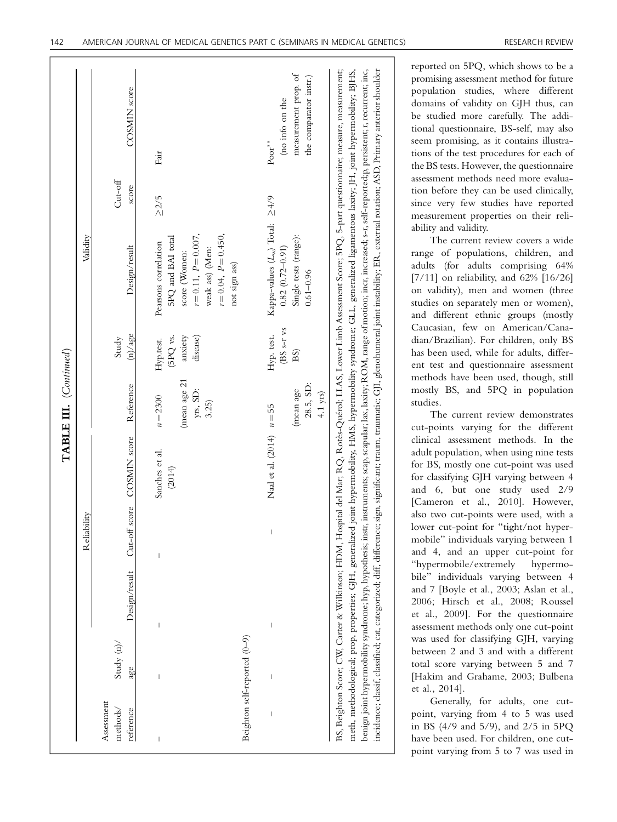|                                     |                                |               |                          |                             | TABLE III. (Continued)                          |                                              |                                                                                                                                                        |                    |                                                                                                                                                                                                                                                                                                                                                                                                                                                                                                                                                                                                                                                                                                                                                                         |
|-------------------------------------|--------------------------------|---------------|--------------------------|-----------------------------|-------------------------------------------------|----------------------------------------------|--------------------------------------------------------------------------------------------------------------------------------------------------------|--------------------|-------------------------------------------------------------------------------------------------------------------------------------------------------------------------------------------------------------------------------------------------------------------------------------------------------------------------------------------------------------------------------------------------------------------------------------------------------------------------------------------------------------------------------------------------------------------------------------------------------------------------------------------------------------------------------------------------------------------------------------------------------------------------|
|                                     |                                |               | Reliability              |                             |                                                 |                                              | Validity                                                                                                                                               |                    |                                                                                                                                                                                                                                                                                                                                                                                                                                                                                                                                                                                                                                                                                                                                                                         |
| Assessment<br>methods/<br>reference | Study $(n)$<br>age             | Design/result |                          | Cut-off score COSMIN score  | Reference                                       | (n)/age<br>Study                             | Design/result                                                                                                                                          | $Cut-off$<br>score | <b>COSMIN</b> score                                                                                                                                                                                                                                                                                                                                                                                                                                                                                                                                                                                                                                                                                                                                                     |
| Beighton self-reported (0-9)        |                                | $\mid$        |                          | Sanches et al.<br>(2014)    | (mean age 21<br>yrs, SD:<br>$n = 2300$<br>3.25) | disease)<br>(5PQ vs.<br>anxiety<br>Hyp.test. | $r = 0.11$ , $P = 0.007$ ,<br>$r = 0.04, P = 0.450,$<br>5PQ and BAI total<br>Pearsons correlation<br>weak ass) (Men:<br>score (Women:<br>not sign ass) | $\geq$ 2/5         | Fair                                                                                                                                                                                                                                                                                                                                                                                                                                                                                                                                                                                                                                                                                                                                                                    |
|                                     | $\begin{array}{c} \end{array}$ | $\mid$        | $\overline{\phantom{a}}$ | Naal et al. (2014) $n = 55$ | 28.5, SD:<br>(mean age<br>$4.1$ yrs)            | (BS s-r vs<br>Hyp. test.<br>BS)              | Kappa-values $(L_w)$ Total: $\geq 4/9$<br>Single tests (range):<br>$0.82(0.72 - 0.91)$<br>$0.61 - 0.96$                                                |                    | measurement prop. of<br>the comparator instr.)<br>(no info on the<br>$\text{Poor}^{**}$                                                                                                                                                                                                                                                                                                                                                                                                                                                                                                                                                                                                                                                                                 |
|                                     |                                |               |                          |                             |                                                 |                                              |                                                                                                                                                        |                    | benign.joint hypermobility syndrome; hyp, hypothesis; instr. instruments; scap, scapular; lax; laxity; ROM, range of motion; incr. increased; s-r, self-reported;p, persistent; r, recurrent; inc,<br>BS, Beighton Score; CW, Carter & Wilkinson; HDM, Hospital del Mar; RQ, Rotès-Quérol; LLAS, Lower Limb Assessment Score; 5PQ, 5-part questionnaire; measure, measurement;<br>meth, methodological; prop, properties; GJH, generalized joint hypermobility, HMS, hypermobility syndrome; GLL, generalized ligamentous laxity; JH, joint hypermobility; BJHS,<br>incidence; classif, classified; cat, categorized; diff. difference; sign, significant; traum, traumatic; GJI, glenohumeral joint instability; ER, external rotation; ASD, Primary anterior shoulder |

reported on 5PQ, which shows to be a promising assessment method for future population studies, where different domains of validity on GJH thus, can be studied more carefully. The additional questionnaire, BS-self, may also seem promising, as it contains illustrations of the test procedures for each of the BS tests. However, the questionnaire assessment methods need more evaluation before they can be used clinically, since very few studies have reported measurement properties on their reliability and validity.

The current review covers a wide range of populations, children, and adults (for adults comprising 64% [7/11] on reliability, and 62% [16/26] on validity), men and women (three studies on separately men or women), and different ethnic groups (mostly Caucasian, few on American/Canadian/Brazilian). For children, only BS has been used, while for adults, different test and questionnaire assessment methods have been used, though, still mostly BS, and 5PQ in population studies.

The current review demonstrates cut-points varying for the different clinical assessment methods. In the adult population, when using nine tests for BS, mostly one cut-point was used for classifying GJH varying between 4 and 6, but one study used 2/9 [Cameron et al., 2010]. However, also two cut-points were used, with a lower cut-point for "tight/not hypermobile" individuals varying between 1 and 4, and an upper cut-point for "hypermobile/extremely hypermobile" individuals varying between 4 and 7 [Boyle et al., 2003; Aslan et al., 2006; Hirsch et al., 2008; Roussel et al., 2009]. For the questionnaire assessment methods only one cut-point was used for classifying GJH, varying between 2 and 3 and with a different total score varying between 5 and 7 [Hakim and Grahame, 2003; Bulbena et al., 2014].

Generally, for adults, one cutpoint, varying from 4 to 5 was used in BS (4/9 and 5/9), and 2/5 in 5PQ have been used. For children, one cutpoint varying from 5 to 7 was used in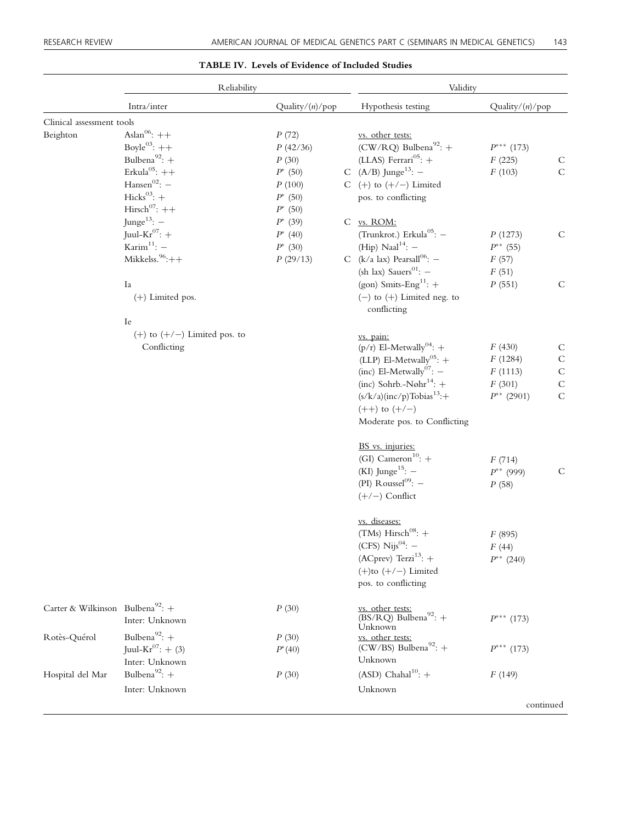#### Reliability Validity Intra/inter Quality/(n)/pop Hypothesis testing Quality/(n)/pop Clinical assessment tools<br>Beighton  $\text{Aslan}^{06}$ : ++ Beighton  $\text{Aslan}^{06}:++$   $P(72)$  <u>vs. other tests:</u> Boyle<sup>03</sup>: ++<br>Bulbena<sup>92</sup>: + P (42/36) (CW/RQ) Bulbena<sup>92</sup>: + P<sup>\*\*\*</sup> (17<br>Bulbena<sup>92</sup>: + P (30) (LLAS) Ferrari<sup>05</sup>: + F (225) -- (173)  $P$  (30) (LLAS) Ferrari<sup>05</sup>: +  $F$  (225) C<br>  $P^*$  (50) C (A/B) Junge<sup>13</sup>: -  $F$  (103) C Erkula<sup>05</sup>: ++<br>Hansen<sup>02</sup>: -  $P^*(50)$ <br> $P(100)$ C  $(A/B)$  Junge<sup>13</sup>:  $P(100)$  C (+) to (+/-) Limited<br>  $P^*$  (50) pos. to conflicting Hicks $^{03}$ : + pos. to conflicting Hirsch<sup>07</sup>: ++<br>  $P^*$  (50)<br>  $\text{Image}^{13}$ : -  $P^*$  (39)  $P^*$  (50) Junge<sup>13</sup>:  $P^*$  (39)<br>Juul-Kr<sup>07</sup>: +  $P^*$  (40) C vs. ROM: Juul-Kr<sup>07</sup>: +<br>
Karim<sup>11</sup>: -<br> *P*<sup>\*</sup> (40)<br> *P*<sup>\*</sup> (30) (Trunkrot.) Erkula<sup>05</sup>:  $-P(1273)$  C Karim<sup>11</sup>: -  $P^*$  (30)<br>Mikkelss.<sup>96</sup>:++  $P$  (29/13) (Hip) Naal<sup>14</sup>: -  $P^{**}$  (5.<br>(k/a lax) Pearsall<sup>06</sup>: -  $F$  (57)  $*$  (55) C (k/a lax) Pearsall<sup>06</sup>: - F (57)<br>(sh lax) Sauers<sup>01</sup>: - F (51) (sh lax) Sauers<sup>01</sup>: - F (51)<br>(gon) Smits-Eng<sup>11</sup>: + P (551) Ia (gon) Smits-Eng<sup>11</sup>:  $+$  P (551) C<br>(+) Limited pos.  $-$  (+) Limited neg. to  $(-)$  to  $(+)$  Limited neg. to conflicting Ie  $(+)$  to  $(+/-)$  Limited pos. to Conflicting vs. pain: (p/r) El-Metwally<sup>04</sup>: +  $F(430)$  C<br>
(LLP) El-Metwally<sup>05</sup>: +  $F(1284)$  C (LLP) El-Metwally<sup>05</sup>: +  $F(1284)$  C<br>(inc) El-Metwally<sup>07</sup>: -  $F(1113)$  C (inc) El-Metwally<sup>07</sup>:  $F (1113)$  C<br>(inc) Sohrb.-Nøhr<sup>14</sup>:  $+$   $F (301)$  C (inc) Sohrb.-Nøhr<sup>14</sup>: + F (301) C<br>
(s/k/a)(inc/p)Tobias<sup>13</sup>:+  $p^{**}$  (2901) C  $(s/k/a)(inc/p)$ Tobias<sup>13</sup>:+  $*(2901)$  C  $(++)$  to  $(+/-)$ Moderate pos. to Conflicting BS vs. injuries: (GI) Cameron<sup>10</sup>:  $+$ (KI) Junge<sup>15</sup>:  $-$ F (714) C (PI) Roussel<sup>09</sup>:  $-$ P\*\* (999)  $(+/-)$  Conflict P (58) vs. diseases: (TMs) Hirsch<sup>08</sup>: +  $(CFS)$  Nijs<sup>04</sup>: -F (895)  $(ACprev)$  Terzi<sup>13</sup>: +  $F(44)$  $(+)$ to  $(+/-)$  Limited  $P^{**}$  (240) pos. to conflicting Carter & Wilkinson Bulbena<sup>92</sup>: +  $P(30)$  vs. other tests:<br>Inter: Unknown (BS/RQ) Bull  $P^{\ast\ast\ast}$ Inter: Unknown  $\overline{\text{BS/RQ}}$  Bulbena<sup>92</sup>: +  $P^{***}$  (173) Unknown Rotès-Quérol Bulbena<sup>92</sup>: +  $P(30)$  vs. other tests:<br>
Iuul-Kr<sup>07</sup>: + (3)  $P^*(40)$  (CW/BS) Bull Juul-Kr $^{07}$ : + (3) (CW/BS) Bulbena<sup>92</sup>:  $+$ <br>Unknown -- (173) Inter: Unknown Hospital del Mar Bulbena<sup>92</sup>: +  $P(30)$  (ASD) Chahal<sup>10</sup>: +  $F(149)$ Inter: Unknown Unknown

#### TABLE IV. Levels of Evidence of Included Studies

continued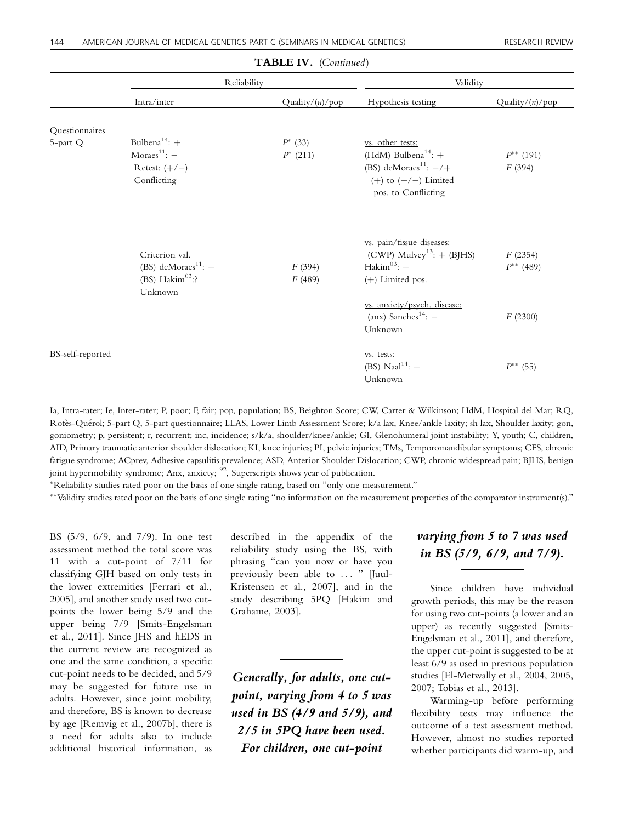|                  |                                                                                     | $\mathbf{H}$            |                                                                                                                                                 |                           |
|------------------|-------------------------------------------------------------------------------------|-------------------------|-------------------------------------------------------------------------------------------------------------------------------------------------|---------------------------|
|                  | Reliability                                                                         |                         | Validity                                                                                                                                        |                           |
|                  | Intra/inter                                                                         | Quality/ $(n)/p$ op     | Hypothesis testing                                                                                                                              | Quality/(n)/pop           |
| Questionnaires   |                                                                                     |                         |                                                                                                                                                 |                           |
| 5-part Q.        | Bulbena <sup>14</sup> : $+$<br>Moraes $11$ : $-$<br>Retest: $(+/-)$<br>Conflicting  | $P^*(33)$<br>$P^*(211)$ | vs. other tests:<br>(HdM) Bulbena <sup>14</sup> : $+$<br>(BS) deMoraes <sup>11</sup> : $-/+$<br>$(+)$ to $(+/-)$ Limited<br>pos. to Conflicting | $P^{**}$ (191)<br>F(394)  |
|                  | Criterion val.<br>(BS) deMoraes <sup>11</sup> : $-$<br>(BS) $Hakim03$ :?<br>Unknown | F(394)<br>F(489)        | vs. pain/tissue diseases:<br>$(CWP)$ Mulvey <sup>13</sup> : $+$ (BJHS)<br>Hakim <sup>03</sup> : $+$<br>(+) Limited pos.                         | F(2354)<br>$P^{**}$ (489) |
|                  |                                                                                     |                         | vs. anxiety/psych. disease:<br>(anx) Sanches <sup>14</sup> : $-$<br>Unknown                                                                     | F(2300)                   |
| BS-self-reported |                                                                                     |                         | vs. tests:<br>(BS) Naal <sup>14</sup> : $+$<br>Unknown                                                                                          | $P^{**}$ (55)             |

## TABLE IV. (Continued)

Ia, Intra-rater; Ie, Inter-rater; P, poor; F, fair; pop, population; BS, Beighton Score; CW, Carter & Wilkinson; HdM, Hospital del Mar; RQ, Rotes-Querol; 5-part Q, 5-part questionnaire; LLAS, Lower Limb Assessment Score; k/a lax, Knee/ankle laxity; sh lax, Shoulder laxity; gon, goniometry; p, persistent; r, recurrent; inc, incidence; s/k/a, shoulder/knee/ankle; GI, Glenohumeral joint instability; Y, youth; C, children, AID, Primary traumatic anterior shoulder dislocation; KI, knee injuries; PI, pelvic injuries; TMs, Temporomandibular symptoms; CFS, chronic fatigue syndrome; ACprev, Adhesive capsulitis prevalence; ASD, Anterior Shoulder Dislocation; CWP, chronic widespread pain; BJHS, benign joint hypermobility syndrome; Anx, anxiety;  $\frac{92}{2}$ , Superscripts shows year of publication.

-Reliability studies rated poor on the basis of one single rating, based on "only one measurement."

--Validity studies rated poor on the basis of one single rating "no information on the measurement properties of the comparator instrument(s)."

BS (5/9, 6/9, and 7/9). In one test assessment method the total score was 11 with a cut-point of 7/11 for classifying GJH based on only tests in the lower extremities [Ferrari et al., 2005], and another study used two cutpoints the lower being 5/9 and the upper being 7/9 [Smits-Engelsman et al., 2011]. Since JHS and hEDS in the current review are recognized as one and the same condition, a specific cut-point needs to be decided, and 5/9 may be suggested for future use in adults. However, since joint mobility, and therefore, BS is known to decrease by age [Remvig et al., 2007b], there is a need for adults also to include additional historical information, as

described in the appendix of the reliability study using the BS, with phrasing "can you now or have you previously been able to ... " [Juul-Kristensen et al., 2007], and in the study describing 5PQ [Hakim and Grahame, 2003].

Generally, for adults, one cutpoint, varying from 4 to 5 was used in BS (4/9 and 5/9), and 2/5 in 5PQ have been used. For children, one cut-point

## varying from 5 to 7 was used in BS (5/9, 6/9, and 7/9).

Since children have individual growth periods, this may be the reason for using two cut-points (a lower and an upper) as recently suggested [Smits-Engelsman et al., 2011], and therefore, the upper cut-point is suggested to be at least 6/9 as used in previous population studies [El-Metwally et al., 2004, 2005, 2007; Tobias et al., 2013].

Warming-up before performing flexibility tests may influence the outcome of a test assessment method. However, almost no studies reported whether participants did warm-up, and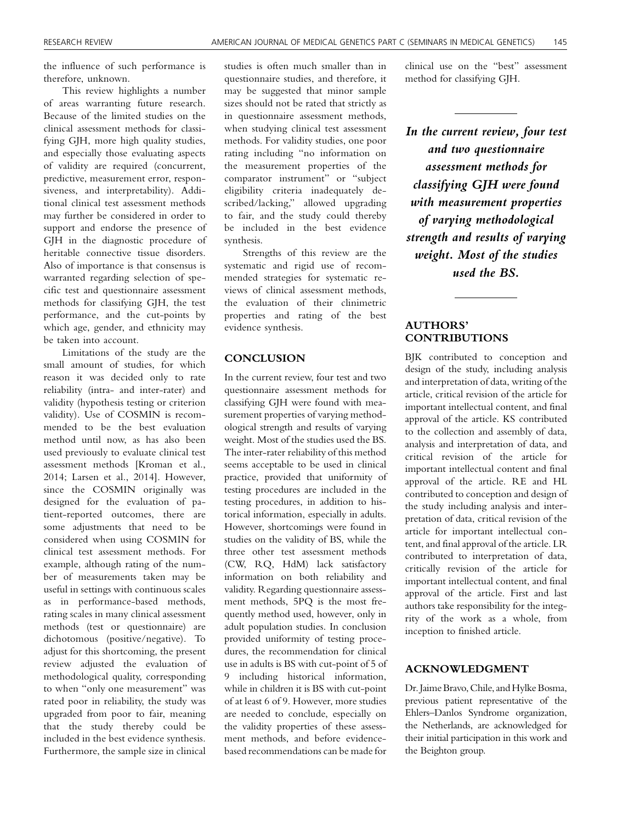the influence of such performance is therefore, unknown.

This review highlights a number of areas warranting future research. Because of the limited studies on the clinical assessment methods for classifying GJH, more high quality studies, and especially those evaluating aspects of validity are required (concurrent, predictive, measurement error, responsiveness, and interpretability). Additional clinical test assessment methods may further be considered in order to support and endorse the presence of GJH in the diagnostic procedure of heritable connective tissue disorders. Also of importance is that consensus is warranted regarding selection of specific test and questionnaire assessment methods for classifying GJH, the test performance, and the cut-points by which age, gender, and ethnicity may be taken into account.

Limitations of the study are the small amount of studies, for which reason it was decided only to rate reliability (intra- and inter-rater) and validity (hypothesis testing or criterion validity). Use of COSMIN is recommended to be the best evaluation method until now, as has also been used previously to evaluate clinical test assessment methods [Kroman et al., 2014; Larsen et al., 2014]. However, since the COSMIN originally was designed for the evaluation of patient-reported outcomes, there are some adjustments that need to be considered when using COSMIN for clinical test assessment methods. For example, although rating of the number of measurements taken may be useful in settings with continuous scales as in performance-based methods, rating scales in many clinical assessment methods (test or questionnaire) are dichotomous (positive/negative). To adjust for this shortcoming, the present review adjusted the evaluation of methodological quality, corresponding to when "only one measurement" was rated poor in reliability, the study was upgraded from poor to fair, meaning that the study thereby could be included in the best evidence synthesis. Furthermore, the sample size in clinical

studies is often much smaller than in questionnaire studies, and therefore, it may be suggested that minor sample sizes should not be rated that strictly as in questionnaire assessment methods, when studying clinical test assessment methods. For validity studies, one poor rating including "no information on the measurement properties of the comparator instrument" or "subject eligibility criteria inadequately described/lacking," allowed upgrading to fair, and the study could thereby be included in the best evidence synthesis.

Strengths of this review are the systematic and rigid use of recommended strategies for systematic reviews of clinical assessment methods, the evaluation of their clinimetric properties and rating of the best evidence synthesis.

#### **CONCLUSION**

In the current review, four test and two questionnaire assessment methods for classifying GJH were found with measurement properties of varying methodological strength and results of varying weight. Most of the studies used the BS. The inter-rater reliability of this method seems acceptable to be used in clinical practice, provided that uniformity of testing procedures are included in the testing procedures, in addition to historical information, especially in adults. However, shortcomings were found in studies on the validity of BS, while the three other test assessment methods (CW, RQ, HdM) lack satisfactory information on both reliability and validity. Regarding questionnaire assessment methods, 5PQ is the most frequently method used, however, only in adult population studies. In conclusion provided uniformity of testing procedures, the recommendation for clinical use in adults is BS with cut-point of 5 of 9 including historical information, while in children it is BS with cut-point of at least 6 of 9. However, more studies are needed to conclude, especially on the validity properties of these assessment methods, and before evidencebased recommendations can be made for

clinical use on the "best" assessment method for classifying GJH.

In the current review, four test and two questionnaire assessment methods for classifying GJH were found with measurement properties of varying methodological strength and results of varying weight. Most of the studies used the BS.

## AUTHORS' CONTRIBUTIONS

BJK contributed to conception and design of the study, including analysis and interpretation of data, writing of the article, critical revision of the article for important intellectual content, and final approval of the article. KS contributed to the collection and assembly of data, analysis and interpretation of data, and critical revision of the article for important intellectual content and final approval of the article. RE and HL contributed to conception and design of the study including analysis and interpretation of data, critical revision of the article for important intellectual content, and final approval of the article. LR contributed to interpretation of data, critically revision of the article for important intellectual content, and final approval of the article. First and last authors take responsibility for the integrity of the work as a whole, from inception to finished article.

#### ACKNOWLEDGMENT

Dr. Jaime Bravo, Chile, and Hylke Bosma, previous patient representative of the Ehlers–Danlos Syndrome organization, the Netherlands, are acknowledged for their initial participation in this work and the Beighton group.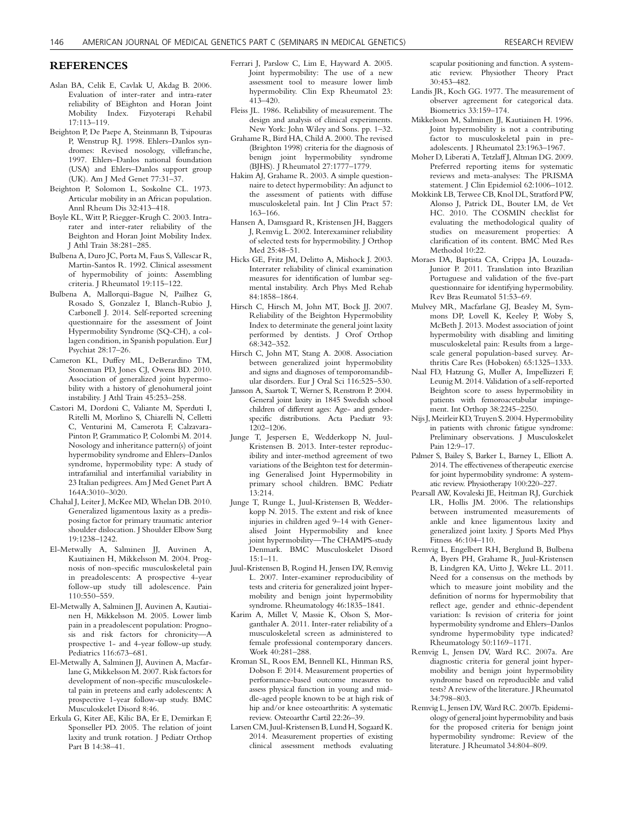#### REFERENCES

- Aslan BA, Celik E, Cavlak U, Akdag B. 2006. Evaluation of inter-rater and intra-rater reliability of BEighton and Horan Joint Mobility Index. Fizyoterapi Rehabil 17:113–119.
- Beighton P, De Paepe A, Steinmann B, Tsipouras P, Wenstrup RJ. 1998. Ehlers–Danlos syndromes: Revised nosology, villefranche, 1997. Ehlers–Danlos national foundation (USA) and Ehlers–Danlos support group (UK). Am J Med Genet 77:31–37.
- Beighton P, Solomon L, Soskolne CL. 1973. Articular mobility in an African population. Annl Rheum Dis 32:413–418.
- Boyle KL, Witt P, Riegger-Krugh C. 2003. Intrarater and inter-rater reliability of the Beighton and Horan Joint Mobility Index. J Athl Train 38:281–285.
- Bulbena A, Duro JC, Porta M, Faus S, Vallescar R, Martin-Santos R. 1992. Clinical assessment of hypermobility of joints: Assembling criteria. J Rheumatol 19:115–122.
- Bulbena A, Mallorqui-Bague N, Pailhez G, Rosado S, Gonzalez I, Blanch-Rubio J, Carbonell J. 2014. Self-reported screening questionnaire for the assessment of Joint Hypermobility Syndrome (SQ-CH), a collagen condition, in Spanish population. Eur J Psychiat 28:17–26.
- Cameron KL, Duffey ML, DeBerardino TM, Stoneman PD, Jones CJ, Owens BD. 2010. Association of generalized joint hypermobility with a history of glenohumeral joint instability. J Athl Train 45:253–258.
- Castori M, Dordoni C, Valiante M, Sperduti I, Ritelli M, Morlino S, Chiarelli N, Celletti C, Venturini M, Camerota F, Calzavara-Pinton P, Grammatico P, Colombi M. 2014. Nosology and inheritance pattern(s) of joint hypermobility syndrome and Ehlers–Danlos syndrome, hypermobility type: A study of intrafamilial and interfamilial variability in 23 Italian pedigrees. Am J Med Genet Part A 164A:3010–3020.
- Chahal J, Leiter J, McKee MD, Whelan DB. 2010. Generalized ligamentous laxity as a predisposing factor for primary traumatic anterior shoulder dislocation. J Shoulder Elbow Surg 19:1238–1242.
- El-Metwally A, Salminen JJ, Auvinen A, Kautiainen H, Mikkelsson M. 2004. Prognosis of non-specific musculoskeletal pain in preadolescents: A prospective 4-year follow-up study till adolescence. Pain 110:550–559.
- El-Metwally A, Salminen JJ, Auvinen A, Kautiainen H, Mikkelsson M. 2005. Lower limb pain in a preadolescent population: Prognosis and risk factors for chronicity—A prospective 1- and 4-year follow-up study. Pediatrics 116:673–681.
- El-Metwally A, Salminen JJ, Auvinen A, Macfarlane G, Mikkelsson M. 2007. Risk factors for development of non-specific musculoskeletal pain in preteens and early adolescents: A prospective 1-year follow-up study. BMC Musculoskelet Disord 8:46.
- Erkula G, Kiter AE, Kilic BA, Er E, Demirkan F, Sponseller PD. 2005. The relation of joint laxity and trunk rotation. J Pediatr Orthop Part B 14:38–41.
- Ferrari J, Parslow C, Lim E, Hayward A. 2005. Joint hypermobility: The use of a new assessment tool to measure lower limb hypermobility. Clin Exp Rheumatol 23: 413–420.
- Fleiss JL. 1986. Reliability of measurement. The design and analysis of clinical experiments. New York: John Wiley and Sons. pp. 1–32.
- Grahame R, Bird HA, Child A. 2000. The revised (Brighton 1998) criteria for the diagnosis of benign joint hypermobility syndrome (BJHS). J Rheumatol 27:1777–1779.
- Hakim AJ, Grahame R. 2003. A simple questionnaire to detect hypermobility: An adjunct to the assessment of patients with diffuse musculoskeletal pain. Int J Clin Pract 57: 163–166.
- Hansen A, Damsgaard R, Kristensen JH, Baggers J, Remvig L. 2002. Interexaminer reliability of selected tests for hypermobility. J Orthop Med 25:48–51.
- Hicks GE, Fritz JM, Delitto A, Mishock J. 2003. Interrater reliability of clinical examination measures for identification of lumbar segmental instability. Arch Phys Med Rehab 84:1858–1864.
- Hirsch C, Hirsch M, John MT, Bock JJ. 2007. Reliability of the Beighton Hypermobility Index to determinate the general joint laxity performed by dentists. J Orof Orthop 68:342–352.
- Hirsch C, John MT, Stang A. 2008. Association between generalized joint hypermobility and signs and diagnoses of temporomandibular disorders. Eur J Oral Sci 116:525–530.
- Jansson A, Saartok T, Werner S, Renstrom P. 2004. General joint laxity in 1845 Swedish school children of different ages: Age- and genderspecific distributions. Acta Paediatr 93: 1202–1206.
- Junge T, Jespersen E, Wedderkopp N, Juul-Kristensen B. 2013. Inter-tester reproducibility and inter-method agreement of two variations of the Beighton test for determining Generalised Joint Hypermobility in primary school children. BMC Pediatr 13:214.
- Junge T, Runge L, Juul-Kristensen B, Wedderkopp N. 2015. The extent and risk of knee injuries in children aged 9–14 with Generalised Joint Hypermobility and knee joint hypermobility—The CHAMPS-study Denmark. BMC Musculoskelet Disord 15:1–11.
- Juul-Kristensen B, Rogind H, Jensen DV, Remvig L. 2007. Inter-examiner reproducibility of tests and criteria for generalized joint hypermobility and benign joint hypermobility syndrome. Rheumatology 46:1835–1841.
- Karim A, Millet V, Massie K, Olson S, Morganthaler A. 2011. Inter-rater reliability of a musculoskeletal screen as administered to female professional contemporary dancers. Work 40:281–288.
- Kroman SL, Roos EM, Bennell KL, Hinman RS, Dobson F. 2014. Measurement properties of performance-based outcome measures to assess physical function in young and middle-aged people known to be at high risk of hip and/or knee osteoarthritis: A systematic review. Osteoarthr Cartil 22:26–39.
- Larsen CM, Juul-Kristensen B, Lund H, Sogaard K. 2014. Measurement properties of existing clinical assessment methods evaluating

scapular positioning and function. A systematic review. Physiother Theory Pract 30:453–482.

- Landis JR, Koch GG. 1977. The measurement of observer agreement for categorical data. Biometrics 33:159–174.
- Mikkelsson M, Salminen JJ, Kautiainen H. 1996. Joint hypermobility is not a contributing factor to musculoskeletal pain in preadolescents. J Rheumatol 23:1963–1967.
- Moher D, Liberati A, Tetzlaff J, Altman DG. 2009. Preferred reporting items for systematic reviews and meta-analyses: The PRISMA statement. J Clin Epidemiol 62:1006–1012.
- Mokkink LB, Terwee CB, Knol DL, Stratford PW, Alonso J, Patrick DL, Bouter LM, de Vet HC. 2010. The COSMIN checklist for evaluating the methodological quality of studies on measurement properties: A clarification of its content. BMC Med Res Methodol 10:22.
- Moraes DA, Baptista CA, Crippa JA, Louzada-Junior P. 2011. Translation into Brazilian Portuguese and validation of the five-part questionnaire for identifying hypermobility. Rev Bras Reumatol 51:53–69.
- Mulvey MR, Macfarlane GJ, Beasley M, Symmons DP, Lovell K, Keeley P, Woby S, McBeth J. 2013. Modest association of joint hypermobility with disabling and limiting musculoskeletal pain: Results from a largescale general population-based survey. Arthritis Care Res (Hoboken) 65:1325–1333.
- Naal FD, Hatzung G, Muller A, Impellizzeri F, Leunig M. 2014. Validation of a self-reported Beighton score to assess hypermobility in patients with femoroacetabular impingement. Int Orthop 38:2245–2250.
- Nijs J,Meirleir KD, Truyen S. 2004. Hypermobility in patients with chronic fatigue syndrome: Preliminary observations. J Musculoskelet Pain 12:9–17.
- Palmer S, Bailey S, Barker L, Barney L, Elliott A. 2014. The effectiveness of therapeutic exercise for joint hypermobility syndrome: A systematic review. Physiotherapy 100:220–227.
- Pearsall AW, Kovaleski JE, Heitman RJ, Gurchiek LR, Hollis JM. 2006. The relationships between instrumented measurements of ankle and knee ligamentous laxity and generalized joint laxity. J Sports Med Phys Fitness 46:104–110.
- Remvig L, Engelbert RH, Berglund B, Bulbena A, Byers PH, Grahame R, Juul-Kristensen B, Lindgren KA, Uitto J, Wekre LL. 2011. Need for a consensus on the methods by which to measure joint mobility and the definition of norms for hypermobility that reflect age, gender and ethnic-dependent variation: Is revision of criteria for joint hypermobility syndrome and Ehlers–Danlos syndrome hypermobility type indicated? Rheumatology 50:1169–1171.
- Remvig L, Jensen DV, Ward RC. 2007a. Are diagnostic criteria for general joint hypermobility and benign joint hypermobility syndrome based on reproducible and valid tests? A review of the literature. J Rheumatol 34:798–803.
- Remvig L, Jensen DV, Ward RC. 2007b. Epidemiology of general joint hypermobility and basis for the proposed criteria for benign joint hypermobility syndrome: Review of the literature. J Rheumatol 34:804–809.